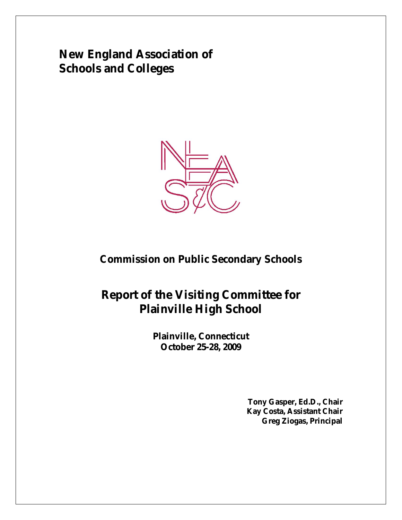**New England Association of Schools and Colleges**



# **Commission on Public Secondary Schools**

# **Report of the Visiting Committee for Plainville High School**

**Plainville, Connecticut October 25-28, 2009**

> **Tony Gasper, Ed.D., Chair Kay Costa, Assistant Chair Greg Ziogas, Principal**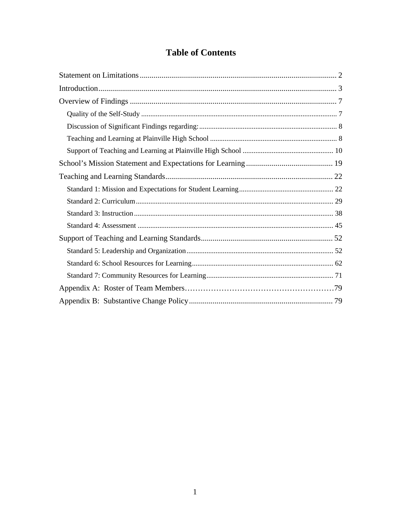# **Table of Contents**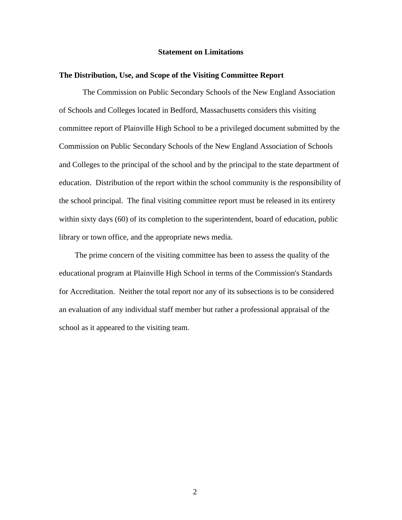# **Statement on Limitations**

# **The Distribution, Use, and Scope of the Visiting Committee Report**

The Commission on Public Secondary Schools of the New England Association of Schools and Colleges located in Bedford, Massachusetts considers this visiting committee report of Plainville High School to be a privileged document submitted by the Commission on Public Secondary Schools of the New England Association of Schools and Colleges to the principal of the school and by the principal to the state department of education. Distribution of the report within the school community is the responsibility of the school principal. The final visiting committee report must be released in its entirety within sixty days (60) of its completion to the superintendent, board of education, public library or town office, and the appropriate news media.

The prime concern of the visiting committee has been to assess the quality of the educational program at Plainville High School in terms of the Commission's Standards for Accreditation. Neither the total report nor any of its subsections is to be considered an evaluation of any individual staff member but rather a professional appraisal of the school as it appeared to the visiting team.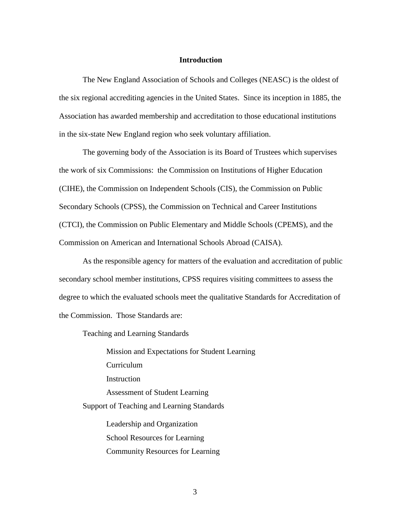# **Introduction**

The New England Association of Schools and Colleges (NEASC) is the oldest of the six regional accrediting agencies in the United States. Since its inception in 1885, the Association has awarded membership and accreditation to those educational institutions in the six-state New England region who seek voluntary affiliation.

The governing body of the Association is its Board of Trustees which supervises the work of six Commissions: the Commission on Institutions of Higher Education (CIHE), the Commission on Independent Schools (CIS), the Commission on Public Secondary Schools (CPSS), the Commission on Technical and Career Institutions (CTCI), the Commission on Public Elementary and Middle Schools (CPEMS), and the Commission on American and International Schools Abroad (CAISA).

As the responsible agency for matters of the evaluation and accreditation of public secondary school member institutions, CPSS requires visiting committees to assess the degree to which the evaluated schools meet the qualitative Standards for Accreditation of the Commission. Those Standards are:

Teaching and Learning Standards

Mission and Expectations for Student Learning Curriculum Instruction Assessment of Student Learning Support of Teaching and Learning Standards Leadership and Organization School Resources for Learning

Community Resources for Learning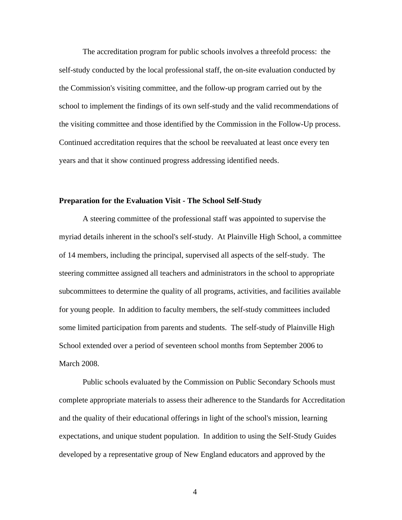The accreditation program for public schools involves a threefold process: the self-study conducted by the local professional staff, the on-site evaluation conducted by the Commission's visiting committee, and the follow-up program carried out by the school to implement the findings of its own self-study and the valid recommendations of the visiting committee and those identified by the Commission in the Follow-Up process. Continued accreditation requires that the school be reevaluated at least once every ten years and that it show continued progress addressing identified needs.

#### **Preparation for the Evaluation Visit - The School Self-Study**

A steering committee of the professional staff was appointed to supervise the myriad details inherent in the school's self-study. At Plainville High School, a committee of 14 members, including the principal, supervised all aspects of the self-study. The steering committee assigned all teachers and administrators in the school to appropriate subcommittees to determine the quality of all programs, activities, and facilities available for young people. In addition to faculty members, the self-study committees included some limited participation from parents and students. The self-study of Plainville High School extended over a period of seventeen school months from September 2006 to March 2008.

Public schools evaluated by the Commission on Public Secondary Schools must complete appropriate materials to assess their adherence to the Standards for Accreditation and the quality of their educational offerings in light of the school's mission, learning expectations, and unique student population. In addition to using the Self-Study Guides developed by a representative group of New England educators and approved by the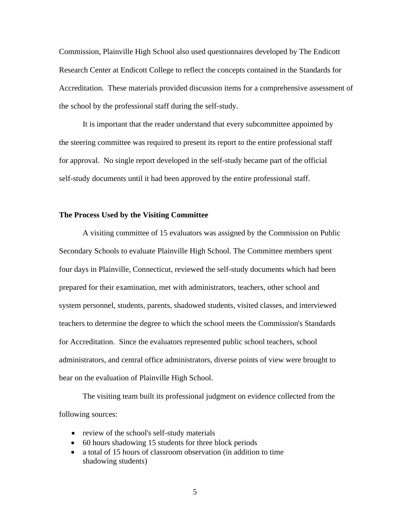Commission, Plainville High School also used questionnaires developed by The Endicott Research Center at Endicott College to reflect the concepts contained in the Standards for Accreditation. These materials provided discussion items for a comprehensive assessment of the school by the professional staff during the self-study.

It is important that the reader understand that every subcommittee appointed by the steering committee was required to present its report to the entire professional staff for approval. No single report developed in the self-study became part of the official self-study documents until it had been approved by the entire professional staff.

# **The Process Used by the Visiting Committee**

A visiting committee of 15 evaluators was assigned by the Commission on Public Secondary Schools to evaluate Plainville High School. The Committee members spent four days in Plainville, Connecticut, reviewed the self-study documents which had been prepared for their examination, met with administrators, teachers, other school and system personnel, students, parents, shadowed students, visited classes, and interviewed teachers to determine the degree to which the school meets the Commission's Standards for Accreditation. Since the evaluators represented public school teachers, school administrators, and central office administrators, diverse points of view were brought to bear on the evaluation of Plainville High School.

The visiting team built its professional judgment on evidence collected from the following sources:

- review of the school's self-study materials
- 60 hours shadowing 15 students for three block periods
- a total of 15 hours of classroom observation (in addition to time shadowing students)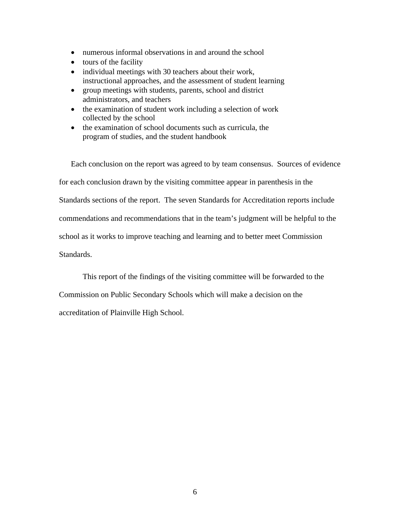- numerous informal observations in and around the school
- tours of the facility
- individual meetings with 30 teachers about their work, instructional approaches, and the assessment of student learning
- group meetings with students, parents, school and district administrators, and teachers
- the examination of student work including a selection of work collected by the school
- the examination of school documents such as curricula, the program of studies, and the student handbook

Each conclusion on the report was agreed to by team consensus. Sources of evidence for each conclusion drawn by the visiting committee appear in parenthesis in the Standards sections of the report. The seven Standards for Accreditation reports include commendations and recommendations that in the team's judgment will be helpful to the school as it works to improve teaching and learning and to better meet Commission Standards.

This report of the findings of the visiting committee will be forwarded to the

Commission on Public Secondary Schools which will make a decision on the

accreditation of Plainville High School.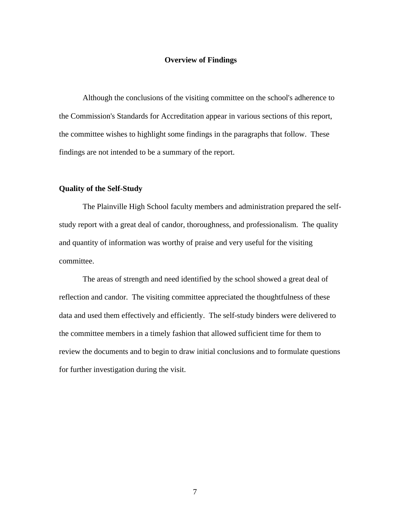# **Overview of Findings**

Although the conclusions of the visiting committee on the school's adherence to the Commission's Standards for Accreditation appear in various sections of this report, the committee wishes to highlight some findings in the paragraphs that follow. These findings are not intended to be a summary of the report.

# **Quality of the Self-Study**

The Plainville High School faculty members and administration prepared the selfstudy report with a great deal of candor, thoroughness, and professionalism. The quality and quantity of information was worthy of praise and very useful for the visiting committee.

The areas of strength and need identified by the school showed a great deal of reflection and candor. The visiting committee appreciated the thoughtfulness of these data and used them effectively and efficiently. The self-study binders were delivered to the committee members in a timely fashion that allowed sufficient time for them to review the documents and to begin to draw initial conclusions and to formulate questions for further investigation during the visit.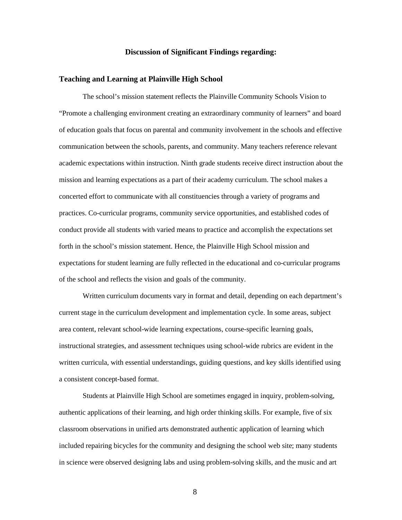# **Discussion of Significant Findings regarding:**

## **Teaching and Learning at Plainville High School**

The school's mission statement reflects the Plainville Community Schools Vision to "Promote a challenging environment creating an extraordinary community of learners" and board of education goals that focus on parental and community involvement in the schools and effective communication between the schools, parents, and community. Many teachers reference relevant academic expectations within instruction. Ninth grade students receive direct instruction about the mission and learning expectations as a part of their academy curriculum. The school makes a concerted effort to communicate with all constituencies through a variety of programs and practices. Co-curricular programs, community service opportunities, and established codes of conduct provide all students with varied means to practice and accomplish the expectations set forth in the school's mission statement. Hence, the Plainville High School mission and expectations for student learning are fully reflected in the educational and co-curricular programs of the school and reflects the vision and goals of the community.

Written curriculum documents vary in format and detail, depending on each department's current stage in the curriculum development and implementation cycle. In some areas, subject area content, relevant school-wide learning expectations, course-specific learning goals, instructional strategies, and assessment techniques using school-wide rubrics are evident in the written curricula, with essential understandings, guiding questions, and key skills identified using a consistent concept-based format.

Students at Plainville High School are sometimes engaged in inquiry, problem-solving, authentic applications of their learning, and high order thinking skills. For example, five of six classroom observations in unified arts demonstrated authentic application of learning which included repairing bicycles for the community and designing the school web site; many students in science were observed designing labs and using problem-solving skills, and the music and art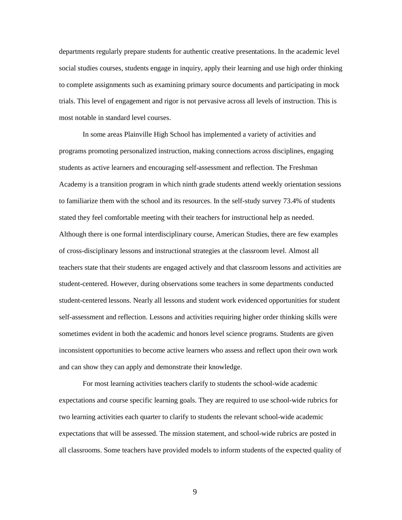departments regularly prepare students for authentic creative presentations. In the academic level social studies courses, students engage in inquiry, apply their learning and use high order thinking to complete assignments such as examining primary source documents and participating in mock trials. This level of engagement and rigor is not pervasive across all levels of instruction. This is most notable in standard level courses.

In some areas Plainville High School has implemented a variety of activities and programs promoting personalized instruction, making connections across disciplines, engaging students as active learners and encouraging self-assessment and reflection. The Freshman Academy is a transition program in which ninth grade students attend weekly orientation sessions to familiarize them with the school and its resources. In the self-study survey 73.4% of students stated they feel comfortable meeting with their teachers for instructional help as needed. Although there is one formal interdisciplinary course, American Studies, there are few examples of cross-disciplinary lessons and instructional strategies at the classroom level. Almost all teachers state that their students are engaged actively and that classroom lessons and activities are student-centered. However, during observations some teachers in some departments conducted student-centered lessons. Nearly all lessons and student work evidenced opportunities for student self-assessment and reflection. Lessons and activities requiring higher order thinking skills were sometimes evident in both the academic and honors level science programs. Students are given inconsistent opportunities to become active learners who assess and reflect upon their own work and can show they can apply and demonstrate their knowledge.

For most learning activities teachers clarify to students the school-wide academic expectations and course specific learning goals. They are required to use school-wide rubrics for two learning activities each quarter to clarify to students the relevant school-wide academic expectations that will be assessed. The mission statement, and school-wide rubrics are posted in all classrooms. Some teachers have provided models to inform students of the expected quality of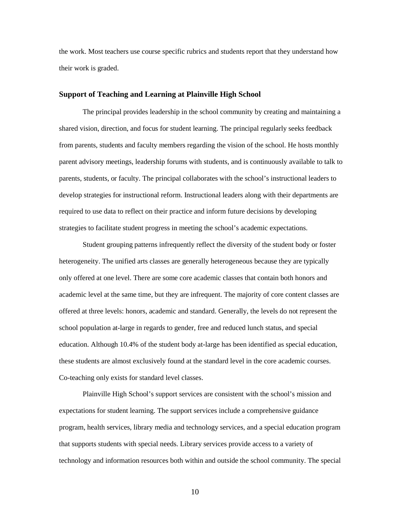the work. Most teachers use course specific rubrics and students report that they understand how their work is graded.

# **Support of Teaching and Learning at Plainville High School**

The principal provides leadership in the school community by creating and maintaining a shared vision, direction, and focus for student learning. The principal regularly seeks feedback from parents, students and faculty members regarding the vision of the school. He hosts monthly parent advisory meetings, leadership forums with students, and is continuously available to talk to parents, students, or faculty. The principal collaborates with the school's instructional leaders to develop strategies for instructional reform. Instructional leaders along with their departments are required to use data to reflect on their practice and inform future decisions by developing strategies to facilitate student progress in meeting the school's academic expectations.

Student grouping patterns infrequently reflect the diversity of the student body or foster heterogeneity. The unified arts classes are generally heterogeneous because they are typically only offered at one level. There are some core academic classes that contain both honors and academic level at the same time, but they are infrequent. The majority of core content classes are offered at three levels: honors, academic and standard. Generally, the levels do not represent the school population at-large in regards to gender, free and reduced lunch status, and special education. Although 10.4% of the student body at-large has been identified as special education, these students are almost exclusively found at the standard level in the core academic courses. Co-teaching only exists for standard level classes.

Plainville High School's support services are consistent with the school's mission and expectations for student learning. The support services include a comprehensive guidance program, health services, library media and technology services, and a special education program that supports students with special needs. Library services provide access to a variety of technology and information resources both within and outside the school community. The special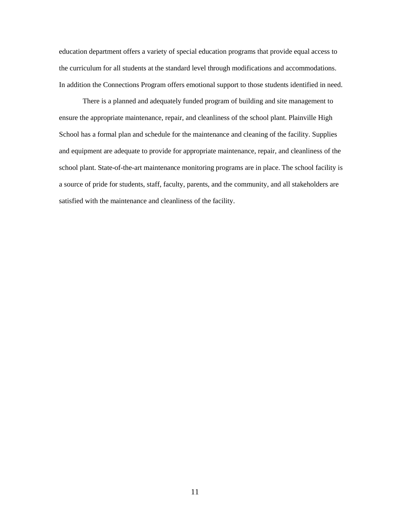education department offers a variety of special education programs that provide equal access to the curriculum for all students at the standard level through modifications and accommodations. In addition the Connections Program offers emotional support to those students identified in need.

There is a planned and adequately funded program of building and site management to ensure the appropriate maintenance, repair, and cleanliness of the school plant. Plainville High School has a formal plan and schedule for the maintenance and cleaning of the facility. Supplies and equipment are adequate to provide for appropriate maintenance, repair, and cleanliness of the school plant. State-of-the-art maintenance monitoring programs are in place. The school facility is a source of pride for students, staff, faculty, parents, and the community, and all stakeholders are satisfied with the maintenance and cleanliness of the facility.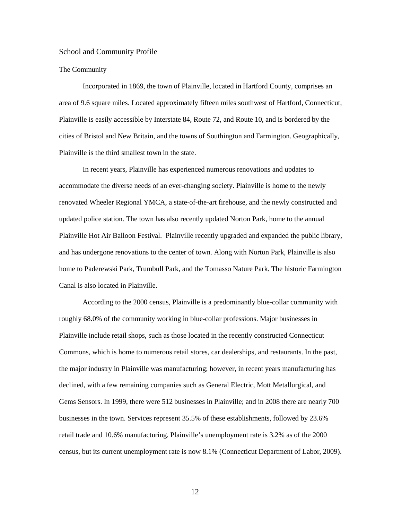#### School and Community Profile

#### The Community

Incorporated in 1869, the town of Plainville, located in Hartford County, comprises an area of 9.6 square miles. Located approximately fifteen miles southwest of Hartford, Connecticut, Plainville is easily accessible by Interstate 84, Route 72, and Route 10, and is bordered by the cities of Bristol and New Britain, and the towns of Southington and Farmington. Geographically, Plainville is the third smallest town in the state.

In recent years, Plainville has experienced numerous renovations and updates to accommodate the diverse needs of an ever-changing society. Plainville is home to the newly renovated Wheeler Regional YMCA, a state-of-the-art firehouse, and the newly constructed and updated police station. The town has also recently updated Norton Park, home to the annual Plainville Hot Air Balloon Festival. Plainville recently upgraded and expanded the public library, and has undergone renovations to the center of town. Along with Norton Park, Plainville is also home to Paderewski Park, Trumbull Park, and the Tomasso Nature Park. The historic Farmington Canal is also located in Plainville.

According to the 2000 census, Plainville is a predominantly blue-collar community with roughly 68.0% of the community working in blue-collar professions. Major businesses in Plainville include retail shops, such as those located in the recently constructed Connecticut Commons, which is home to numerous retail stores, car dealerships, and restaurants. In the past, the major industry in Plainville was manufacturing; however, in recent years manufacturing has declined, with a few remaining companies such as General Electric, Mott Metallurgical, and Gems Sensors. In 1999, there were 512 businesses in Plainville; and in 2008 there are nearly 700 businesses in the town. Services represent 35.5% of these establishments, followed by 23.6% retail trade and 10.6% manufacturing. Plainville's unemployment rate is 3.2% as of the 2000 census, but its current unemployment rate is now 8.1% (Connecticut Department of Labor, 2009).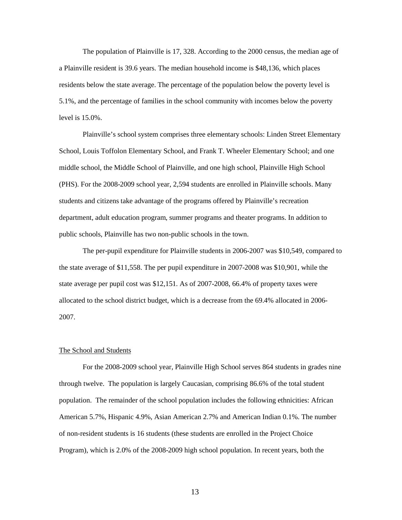The population of Plainville is 17, 328. According to the 2000 census, the median age of a Plainville resident is 39.6 years. The median household income is \$48,136, which places residents below the state average. The percentage of the population below the poverty level is 5.1%, and the percentage of families in the school community with incomes below the poverty level is 15.0%.

Plainville's school system comprises three elementary schools: Linden Street Elementary School, Louis Toffolon Elementary School, and Frank T. Wheeler Elementary School; and one middle school, the Middle School of Plainville, and one high school, Plainville High School (PHS). For the 2008-2009 school year, 2,594 students are enrolled in Plainville schools. Many students and citizens take advantage of the programs offered by Plainville's recreation department, adult education program, summer programs and theater programs. In addition to public schools, Plainville has two non-public schools in the town.

The per-pupil expenditure for Plainville students in 2006-2007 was \$10,549, compared to the state average of \$11,558. The per pupil expenditure in 2007-2008 was \$10,901, while the state average per pupil cost was \$12,151. As of 2007-2008, 66.4% of property taxes were allocated to the school district budget, which is a decrease from the 69.4% allocated in 2006- 2007.

#### The School and Students

For the 2008-2009 school year, Plainville High School serves 864 students in grades nine through twelve. The population is largely Caucasian, comprising 86.6% of the total student population. The remainder of the school population includes the following ethnicities: African American 5.7%, Hispanic 4.9%, Asian American 2.7% and American Indian 0.1%. The number of non-resident students is 16 students (these students are enrolled in the Project Choice Program), which is 2.0% of the 2008-2009 high school population. In recent years, both the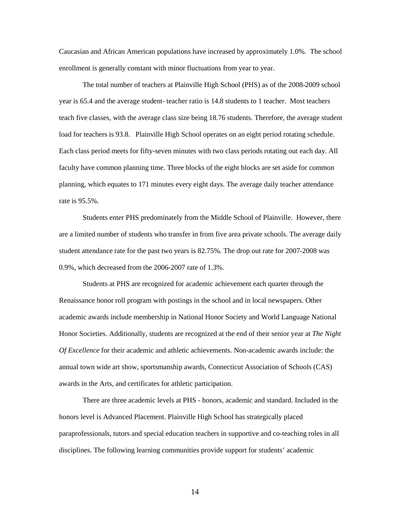Caucasian and African American populations have increased by approximately 1.0%. The school enrollment is generally constant with minor fluctuations from year to year.

The total number of teachers at Plainville High School (PHS) as of the 2008-2009 school year is 65.4 and the average student- teacher ratio is 14.8 students to 1 teacher. Most teachers teach five classes, with the average class size being 18.76 students. Therefore, the average student load for teachers is 93.8. Plainville High School operates on an eight period rotating schedule. Each class period meets for fifty-seven minutes with two class periods rotating out each day. All faculty have common planning time. Three blocks of the eight blocks are set aside for common planning, which equates to 171 minutes every eight days. The average daily teacher attendance rate is 95.5%.

Students enter PHS predominately from the Middle School of Plainville. However, there are a limited number of students who transfer in from five area private schools. The average daily student attendance rate for the past two years is 82.75%. The drop out rate for 2007-2008 was 0.9%, which decreased from the 2006-2007 rate of 1.3%.

Students at PHS are recognized for academic achievement each quarter through the Renaissance honor roll program with postings in the school and in local newspapers. Other academic awards include membership in National Honor Society and World Language National Honor Societies. Additionally, students are recognized at the end of their senior year at *The Night Of Excellence* for their academic and athletic achievements. Non-academic awards include: the annual town wide art show, sportsmanship awards, Connecticut Association of Schools (CAS) awards in the Arts, and certificates for athletic participation.

There are three academic levels at PHS - honors, academic and standard. Included in the honors level is Advanced Placement. Plainville High School has strategically placed paraprofessionals, tutors and special education teachers in supportive and co-teaching roles in all disciplines. The following learning communities provide support for students' academic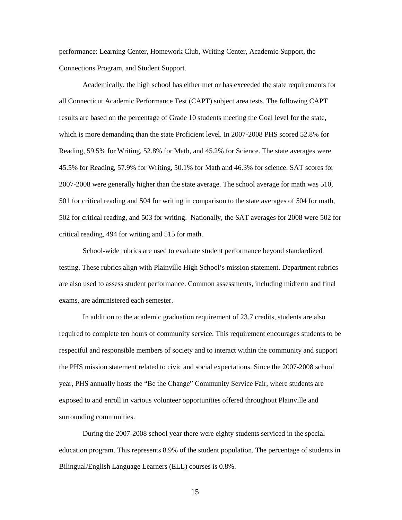performance: Learning Center, Homework Club, Writing Center, Academic Support, the Connections Program, and Student Support.

Academically, the high school has either met or has exceeded the state requirements for all Connecticut Academic Performance Test (CAPT) subject area tests. The following CAPT results are based on the percentage of Grade 10 students meeting the Goal level for the state, which is more demanding than the state Proficient level. In 2007-2008 PHS scored 52.8% for Reading, 59.5% for Writing, 52.8% for Math, and 45.2% for Science. The state averages were 45.5% for Reading, 57.9% for Writing, 50.1% for Math and 46.3% for science. SAT scores for 2007-2008 were generally higher than the state average. The school average for math was 510, 501 for critical reading and 504 for writing in comparison to the state averages of 504 for math, 502 for critical reading, and 503 for writing. Nationally, the SAT averages for 2008 were 502 for critical reading, 494 for writing and 515 for math.

School-wide rubrics are used to evaluate student performance beyond standardized testing. These rubrics align with Plainville High School's mission statement. Department rubrics are also used to assess student performance. Common assessments, including midterm and final exams, are administered each semester.

In addition to the academic graduation requirement of 23.7 credits, students are also required to complete ten hours of community service. This requirement encourages students to be respectful and responsible members of society and to interact within the community and support the PHS mission statement related to civic and social expectations. Since the 2007-2008 school year, PHS annually hosts the "Be the Change" Community Service Fair, where students are exposed to and enroll in various volunteer opportunities offered throughout Plainville and surrounding communities.

During the 2007-2008 school year there were eighty students serviced in the special education program. This represents 8.9% of the student population. The percentage of students in Bilingual/English Language Learners (ELL) courses is 0.8%.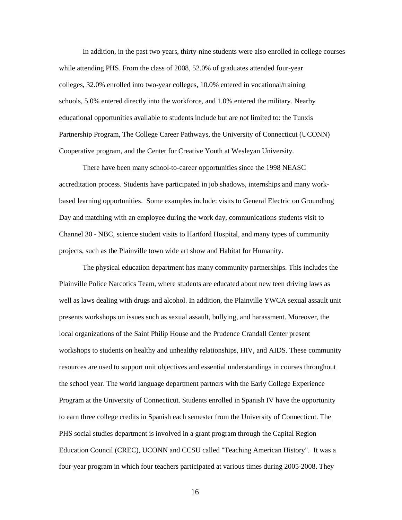In addition, in the past two years, thirty-nine students were also enrolled in college courses while attending PHS. From the class of 2008, 52.0% of graduates attended four-year colleges, 32.0% enrolled into two-year colleges, 10.0% entered in vocational/training schools, 5.0% entered directly into the workforce, and 1.0% entered the military. Nearby educational opportunities available to students include but are not limited to: the Tunxis Partnership Program, The College Career Pathways, the University of Connecticut (UCONN) Cooperative program, and the Center for Creative Youth at Wesleyan University.

There have been many school-to-career opportunities since the 1998 NEASC accreditation process. Students have participated in job shadows, internships and many workbased learning opportunities. Some examples include: visits to General Electric on Groundhog Day and matching with an employee during the work day, communications students visit to Channel 30 - NBC, science student visits to Hartford Hospital, and many types of community projects, such as the Plainville town wide art show and Habitat for Humanity.

The physical education department has many community partnerships. This includes the Plainville Police Narcotics Team, where students are educated about new teen driving laws as well as laws dealing with drugs and alcohol. In addition, the Plainville YWCA sexual assault unit presents workshops on issues such as sexual assault, bullying, and harassment. Moreover, the local organizations of the Saint Philip House and the Prudence Crandall Center present workshops to students on healthy and unhealthy relationships, HIV, and AIDS. These community resources are used to support unit objectives and essential understandings in courses throughout the school year. The world language department partners with the Early College Experience Program at the University of Connecticut. Students enrolled in Spanish IV have the opportunity to earn three college credits in Spanish each semester from the University of Connecticut. The PHS social studies department is involved in a grant program through the Capital Region Education Council (CREC), UCONN and CCSU called "Teaching American History". It was a four-year program in which four teachers participated at various times during 2005-2008. They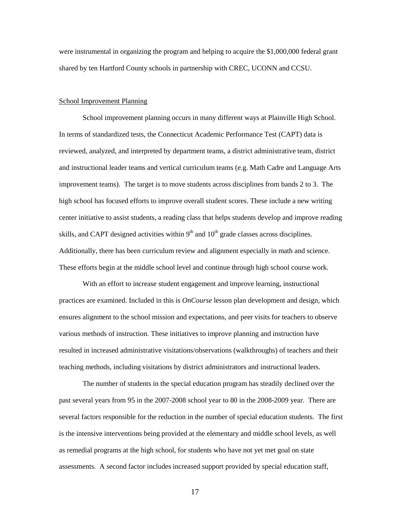were instrumental in organizing the program and helping to acquire the \$1,000,000 federal grant shared by ten Hartford County schools in partnership with CREC, UCONN and CCSU.

# School Improvement Planning

School improvement planning occurs in many different ways at Plainville High School. In terms of standardized tests, the Connecticut Academic Performance Test (CAPT) data is reviewed, analyzed, and interpreted by department teams, a district administrative team, district and instructional leader teams and vertical curriculum teams (e.g. Math Cadre and Language Arts improvement teams). The target is to move students across disciplines from bands 2 to 3. The high school has focused efforts to improve overall student scores. These include a new writing center initiative to assist students, a reading class that helps students develop and improve reading skills, and CAPT designed activities within  $9<sup>th</sup>$  and  $10<sup>th</sup>$  grade classes across disciplines. Additionally, there has been curriculum review and alignment especially in math and science. These efforts begin at the middle school level and continue through high school course work.

With an effort to increase student engagement and improve learning, instructional practices are examined. Included in this is *OnCourse* lesson plan development and design, which ensures alignment to the school mission and expectations, and peer visits for teachers to observe various methods of instruction. These initiatives to improve planning and instruction have resulted in increased administrative visitations/observations (walkthroughs) of teachers and their teaching methods, including visitations by district administrators and instructional leaders.

The number of students in the special education program has steadily declined over the past several years from 95 in the 2007-2008 school year to 80 in the 2008-2009 year. There are several factors responsible for the reduction in the number of special education students. The first is the intensive interventions being provided at the elementary and middle school levels, as well as remedial programs at the high school, for students who have not yet met goal on state assessments. A second factor includes increased support provided by special education staff,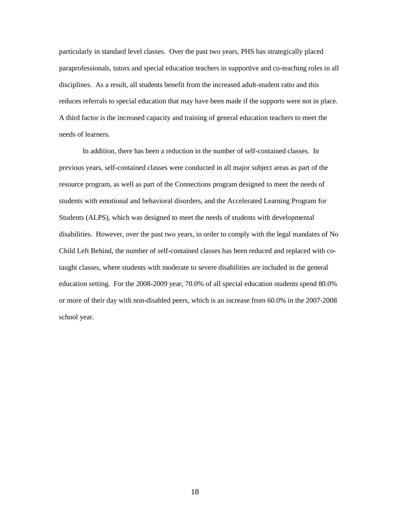particularly in standard level classes. Over the past two years, PHS has strategically placed paraprofessionals, tutors and special education teachers in supportive and co-teaching roles in all disciplines. As a result, all students benefit from the increased adult-student ratio and this reduces referrals to special education that may have been made if the supports were not in place. A third factor is the increased capacity and training of general education teachers to meet the needs of learners.

In addition, there has been a reduction in the number of self-contained classes. In previous years, self-contained classes were conducted in all major subject areas as part of the resource program, as well as part of the Connections program designed to meet the needs of students with emotional and behavioral disorders, and the Accelerated Learning Program for Students (ALPS), which was designed to meet the needs of students with developmental disabilities. However, over the past two years, in order to comply with the legal mandates of No Child Left Behind, the number of self-contained classes has been reduced and replaced with cotaught classes, where students with moderate to severe disabilities are included in the general education setting. For the 2008-2009 year, 70.0% of all special education students spend 80.0% or more of their day with non-disabled peers, which is an increase from 60.0% in the 2007-2008 school year.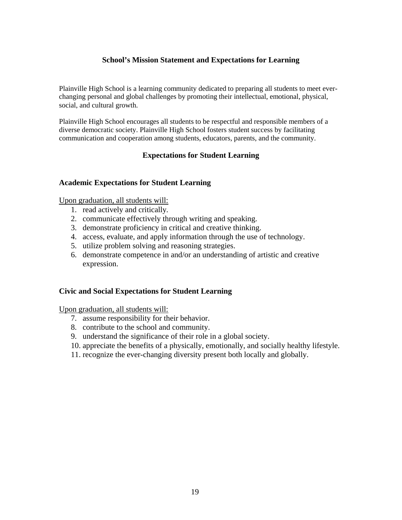# **School's Mission Statement and Expectations for Learning**

Plainville High School is a learning community dedicated to preparing all students to meet everchanging personal and global challenges by promoting their intellectual, emotional, physical, social, and cultural growth.

Plainville High School encourages all students to be respectful and responsible members of a diverse democratic society. Plainville High School fosters student success by facilitating communication and cooperation among students, educators, parents, and the community.

# **Expectations for Student Learning**

# **Academic Expectations for Student Learning**

Upon graduation, all students will:

- 1. read actively and critically.
- 2. communicate effectively through writing and speaking.
- 3. demonstrate proficiency in critical and creative thinking.
- 4. access, evaluate, and apply information through the use of technology.
- 5. utilize problem solving and reasoning strategies.
- 6. demonstrate competence in and/or an understanding of artistic and creative expression.

# **Civic and Social Expectations for Student Learning**

Upon graduation, all students will:

- 7. assume responsibility for their behavior.
- 8. contribute to the school and community.
- 9. understand the significance of their role in a global society.
- 10. appreciate the benefits of a physically, emotionally, and socially healthy lifestyle.
- 11. recognize the ever-changing diversity present both locally and globally.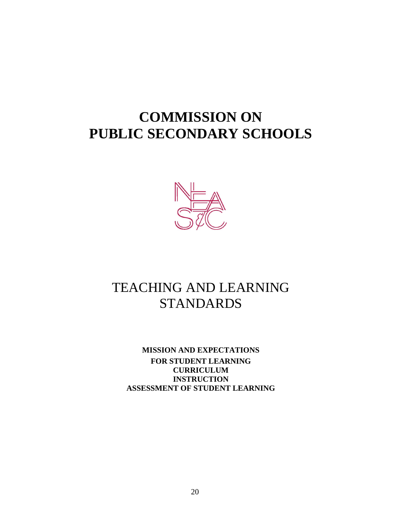# **COMMISSION ON PUBLIC SECONDARY SCHOOLS**



# TEACHING AND LEARNING STANDARDS

**MISSION AND EXPECTATIONS FOR STUDENT LEARNING CURRICULUM INSTRUCTION ASSESSMENT OF STUDENT LEARNING**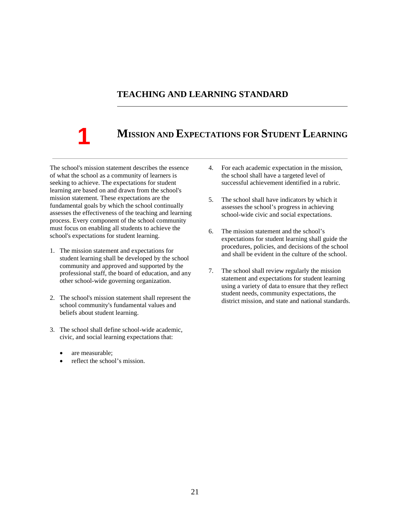# **TEACHING AND LEARNING STANDARD**

# **1**

# **MISSION AND EXPECTATIONS FOR STUDENT LEARNING**

The school's mission statement describes the essence of what the school as a community of learners is seeking to achieve. The expectations for student learning are based on and drawn from the school's mission statement. These expectations are the fundamental goals by which the school continually assesses the effectiveness of the teaching and learning process. Every component of the school community must focus on enabling all students to achieve the school's expectations for student learning.

- 1. The mission statement and expectations for student learning shall be developed by the school community and approved and supported by the professional staff, the board of education, and any other school-wide governing organization.
- 2. The school's mission statement shall represent the school community's fundamental values and beliefs about student learning.
- 3. The school shall define school-wide academic, civic, and social learning expectations that:
	- are measurable;
	- reflect the school's mission.
- 4. For each academic expectation in the mission, the school shall have a targeted level of successful achievement identified in a rubric.
- 5. The school shall have indicators by which it assesses the school's progress in achieving school-wide civic and social expectations.
- 6. The mission statement and the school's expectations for student learning shall guide the procedures, policies, and decisions of the school and shall be evident in the culture of the school.
- 7. The school shall review regularly the mission statement and expectations for student learning using a variety of data to ensure that they reflect student needs, community expectations, the district mission, and state and national standards.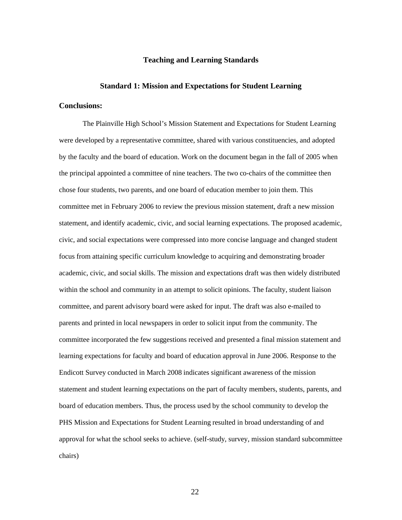# **Teaching and Learning Standards**

#### **Standard 1: Mission and Expectations for Student Learning**

## **Conclusions:**

The Plainville High School's Mission Statement and Expectations for Student Learning were developed by a representative committee, shared with various constituencies, and adopted by the faculty and the board of education. Work on the document began in the fall of 2005 when the principal appointed a committee of nine teachers. The two co-chairs of the committee then chose four students, two parents, and one board of education member to join them. This committee met in February 2006 to review the previous mission statement, draft a new mission statement, and identify academic, civic, and social learning expectations. The proposed academic, civic, and social expectations were compressed into more concise language and changed student focus from attaining specific curriculum knowledge to acquiring and demonstrating broader academic, civic, and social skills. The mission and expectations draft was then widely distributed within the school and community in an attempt to solicit opinions. The faculty, student liaison committee, and parent advisory board were asked for input. The draft was also e-mailed to parents and printed in local newspapers in order to solicit input from the community. The committee incorporated the few suggestions received and presented a final mission statement and learning expectations for faculty and board of education approval in June 2006. Response to the Endicott Survey conducted in March 2008 indicates significant awareness of the mission statement and student learning expectations on the part of faculty members, students, parents, and board of education members. Thus, the process used by the school community to develop the PHS Mission and Expectations for Student Learning resulted in broad understanding of and approval for what the school seeks to achieve. (self-study, survey, mission standard subcommittee chairs)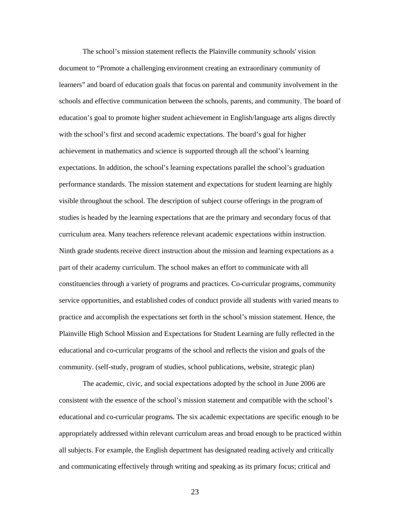The school's mission statement reflects the Plainville community schools' vision document to "Promote a challenging environment creating an extraordinary community of learners" and board of education goals that focus on parental and community involvement in the schools and effective communication between the schools, parents, and community. The board of education's goal to promote higher student achievement in English/language arts aligns directly with the school's first and second academic expectations. The board's goal for higher achievement in mathematics and science is supported through all the school's learning expectations. In addition, the school's learning expectations parallel the school's graduation performance standards. The mission statement and expectations for student learning are highly visible throughout the school. The description of subject course offerings in the program of studies is headed by the learning expectations that are the primary and secondary focus of that curriculum area. Many teachers reference relevant academic expectations within instruction. Ninth grade students receive direct instruction about the mission and learning expectations as a part of their academy curriculum. The school makes an effort to communicate with all constituencies through a variety of programs and practices. Co-curricular programs, community service opportunities, and established codes of conduct provide all students with varied means to practice and accomplish the expectations set forth in the school's mission statement. Hence, the Plainville High School Mission and Expectations for Student Learning are fully reflected in the educational and co-curricular programs of the school and reflects the vision and goals of the community. (self-study, program of studies, school publications, website, strategic plan)

The academic, civic, and social expectations adopted by the school in June 2006 are consistent with the essence of the school's mission statement and compatible with the school's educational and co-curricular programs. The six academic expectations are specific enough to be appropriately addressed within relevant curriculum areas and broad enough to be practiced within all subjects. For example, the English department has designated reading actively and critically and communicating effectively through writing and speaking as its primary focus; critical and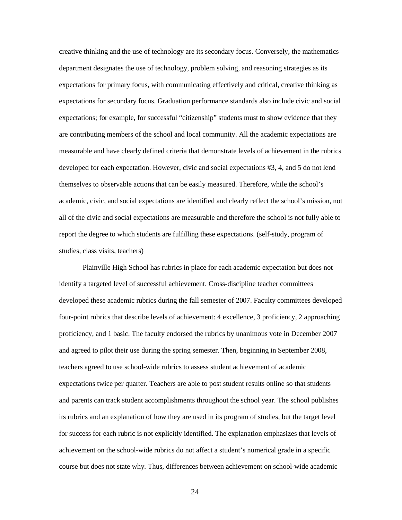creative thinking and the use of technology are its secondary focus. Conversely, the mathematics department designates the use of technology, problem solving, and reasoning strategies as its expectations for primary focus, with communicating effectively and critical, creative thinking as expectations for secondary focus. Graduation performance standards also include civic and social expectations; for example, for successful "citizenship" students must to show evidence that they are contributing members of the school and local community. All the academic expectations are measurable and have clearly defined criteria that demonstrate levels of achievement in the rubrics developed for each expectation. However, civic and social expectations #3, 4, and 5 do not lend themselves to observable actions that can be easily measured. Therefore, while the school's academic, civic, and social expectations are identified and clearly reflect the school's mission, not all of the civic and social expectations are measurable and therefore the school is not fully able to report the degree to which students are fulfilling these expectations. (self-study, program of studies, class visits, teachers)

Plainville High School has rubrics in place for each academic expectation but does not identify a targeted level of successful achievement. Cross-discipline teacher committees developed these academic rubrics during the fall semester of 2007. Faculty committees developed four-point rubrics that describe levels of achievement: 4 excellence, 3 proficiency, 2 approaching proficiency, and 1 basic. The faculty endorsed the rubrics by unanimous vote in December 2007 and agreed to pilot their use during the spring semester. Then, beginning in September 2008, teachers agreed to use school-wide rubrics to assess student achievement of academic expectations twice per quarter. Teachers are able to post student results online so that students and parents can track student accomplishments throughout the school year. The school publishes its rubrics and an explanation of how they are used in its program of studies, but the target level for success for each rubric is not explicitly identified. The explanation emphasizes that levels of achievement on the school-wide rubrics do not affect a student's numerical grade in a specific course but does not state why. Thus, differences between achievement on school-wide academic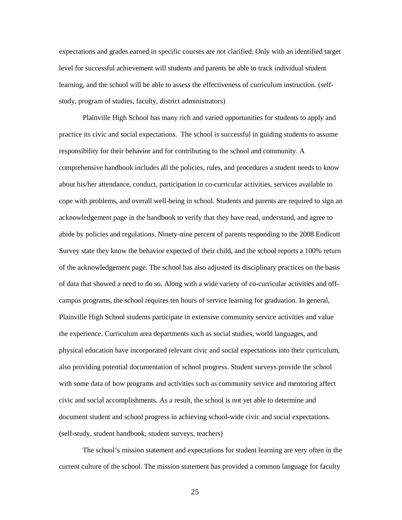expectations and grades earned in specific courses are not clarified. Only with an identified target level for successful achievement will students and parents be able to track individual student learning, and the school will be able to assess the effectiveness of curriculum instruction. (selfstudy, program of studies, faculty, district administrators)

Plainville High School has many rich and varied opportunities for students to apply and practice its civic and social expectations. The school is successful in guiding students to assume responsibility for their behavior and for contributing to the school and community. A comprehensive handbook includes all the policies, rules, and procedures a student needs to know about his/her attendance, conduct, participation in co-curricular activities, services available to cope with problems, and overall well-being in school. Students and parents are required to sign an acknowledgement page in the handbook to verify that they have read, understand, and agree to abide by policies and regulations. Ninety-nine percent of parents responding to the 2008 Endicott Survey state they know the behavior expected of their child, and the school reports a 100% return of the acknowledgement page. The school has also adjusted its disciplinary practices on the basis of data that showed a need to do so. Along with a wide variety of co-curricular activities and offcampus programs, the school requires ten hours of service learning for graduation. In general, Plainville High School students participate in extensive community service activities and value the experience. Curriculum area departments such as social studies, world languages, and physical education have incorporated relevant civic and social expectations into their curriculum, also providing potential documentation of school progress. Student surveys provide the school with some data of how programs and activities such as community service and mentoring affect civic and social accomplishments. As a result, the school is not yet able to determine and document student and school progress in achieving school-wide civic and social expectations. (self-study, student handbook, student surveys, teachers)

The school's mission statement and expectations for student learning are very often in the current culture of the school. The mission statement has provided a common language for faculty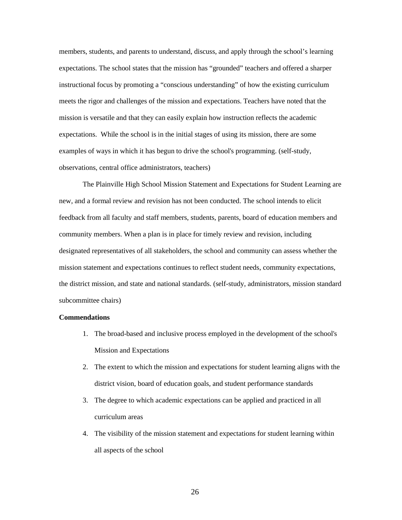members, students, and parents to understand, discuss, and apply through the school's learning expectations. The school states that the mission has "grounded" teachers and offered a sharper instructional focus by promoting a "conscious understanding" of how the existing curriculum meets the rigor and challenges of the mission and expectations. Teachers have noted that the mission is versatile and that they can easily explain how instruction reflects the academic expectations. While the school is in the initial stages of using its mission, there are some examples of ways in which it has begun to drive the school's programming. (self-study, observations, central office administrators, teachers)

The Plainville High School Mission Statement and Expectations for Student Learning are new, and a formal review and revision has not been conducted. The school intends to elicit feedback from all faculty and staff members, students, parents, board of education members and community members. When a plan is in place for timely review and revision, including designated representatives of all stakeholders, the school and community can assess whether the mission statement and expectations continues to reflect student needs, community expectations, the district mission, and state and national standards. (self-study, administrators, mission standard subcommittee chairs)

#### **Commendations**

- 1. The broad-based and inclusive process employed in the development of the school's Mission and Expectations
- 2. The extent to which the mission and expectations for student learning aligns with the district vision, board of education goals, and student performance standards
- 3. The degree to which academic expectations can be applied and practiced in all curriculum areas
- 4. The visibility of the mission statement and expectations for student learning within all aspects of the school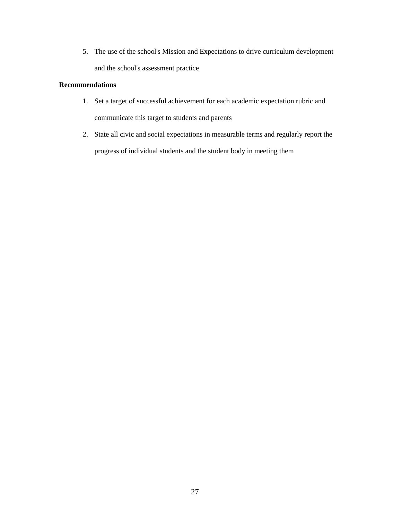5. The use of the school's Mission and Expectations to drive curriculum development and the school's assessment practice

# **Recommendations**

- 1. Set a target of successful achievement for each academic expectation rubric and communicate this target to students and parents
- 2. State all civic and social expectations in measurable terms and regularly report the progress of individual students and the student body in meeting them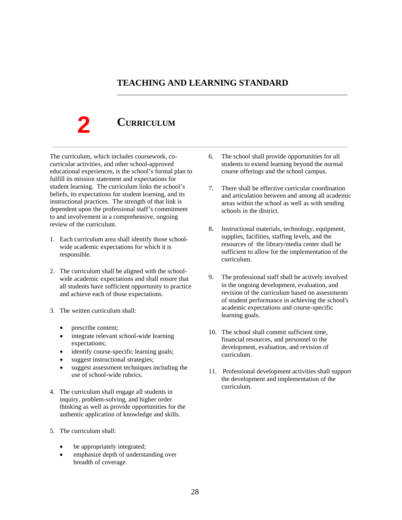# **TEACHING AND LEARNING STANDARD**

**CURRICULUM**

The curriculum, which includes coursework, cocurricular activities, and other school-approved educational experiences, is the school's formal plan to fulfill its mission statement and expectations for student learning. The curriculum links the school's beliefs, its expectations for student learning, and its instructional practices. The strength of that link is dependent upon the professional staff's commitment to and involvement in a comprehensive, ongoing review of the curriculum.

- 1. Each curriculum area shall identify those schoolwide academic expectations for which it is responsible.
- 2. The curriculum shall be aligned with the schoolwide academic expectations and shall ensure that all students have sufficient opportunity to practice and achieve each of those expectations.
- 3. The written curriculum shall:
	- prescribe content;

- integrate relevant school-wide learning expectations;
- identify course-specific learning goals;
- suggest instructional strategies;
- suggest assessment techniques including the use of school-wide rubrics.
- 4. The curriculum shall engage all students in inquiry, problem-solving, and higher order thinking as well as provide opportunities for the authentic application of knowledge and skills.
- 5. The curriculum shall:
	- be appropriately integrated;
	- emphasize depth of understanding over breadth of coverage.
- 6. The school shall provide opportunities for all students to extend learning beyond the normal course offerings and the school campus.
- 7. There shall be effective curricular coordination and articulation between and among all academic areas within the school as well as with sending schools in the district.
- 8. Instructional materials, technology, equipment, supplies, facilities, staffing levels, and the resources of the library/media center shall be sufficient to allow for the implementation of the curriculum.
- 9. The professional staff shall be actively involved in the ongoing development, evaluation, and revision of the curriculum based on assessments of student performance in achieving the school's academic expectations and course-specific learning goals.
- 10. The school shall commit sufficient time, financial resources, and personnel to the development, evaluation, and revision of curriculum.
- 11. Professional development activities shall support the development and implementation of the curriculum.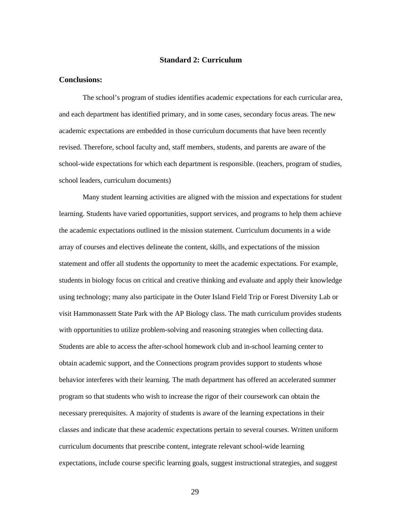# **Standard 2: Curriculum**

# **Conclusions:**

The school's program of studies identifies academic expectations for each curricular area, and each department has identified primary, and in some cases, secondary focus areas. The new academic expectations are embedded in those curriculum documents that have been recently revised. Therefore, school faculty and, staff members, students, and parents are aware of the school-wide expectations for which each department is responsible. (teachers, program of studies, school leaders, curriculum documents)

Many student learning activities are aligned with the mission and expectations for student learning. Students have varied opportunities, support services, and programs to help them achieve the academic expectations outlined in the mission statement. Curriculum documents in a wide array of courses and electives delineate the content, skills, and expectations of the mission statement and offer all students the opportunity to meet the academic expectations. For example, students in biology focus on critical and creative thinking and evaluate and apply their knowledge using technology; many also participate in the Outer Island Field Trip or Forest Diversity Lab or visit Hammonassett State Park with the AP Biology class. The math curriculum provides students with opportunities to utilize problem-solving and reasoning strategies when collecting data. Students are able to access the after-school homework club and in-school learning center to obtain academic support, and the Connections program provides support to students whose behavior interferes with their learning. The math department has offered an accelerated summer program so that students who wish to increase the rigor of their coursework can obtain the necessary prerequisites. A majority of students is aware of the learning expectations in their classes and indicate that these academic expectations pertain to several courses. Written uniform curriculum documents that prescribe content, integrate relevant school-wide learning expectations, include course specific learning goals, suggest instructional strategies, and suggest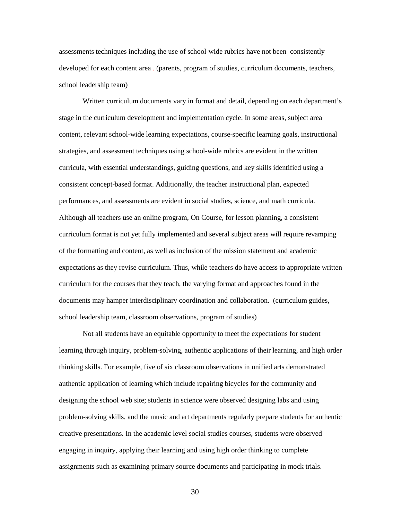assessments techniques including the use of school-wide rubrics have not been consistently developed for each content area . (parents, program of studies, curriculum documents, teachers, school leadership team)

Written curriculum documents vary in format and detail, depending on each department's stage in the curriculum development and implementation cycle. In some areas, subject area content, relevant school-wide learning expectations, course-specific learning goals, instructional strategies, and assessment techniques using school-wide rubrics are evident in the written curricula, with essential understandings, guiding questions, and key skills identified using a consistent concept-based format. Additionally, the teacher instructional plan, expected performances, and assessments are evident in social studies, science, and math curricula. Although all teachers use an online program, On Course, for lesson planning, a consistent curriculum format is not yet fully implemented and several subject areas will require revamping of the formatting and content, as well as inclusion of the mission statement and academic expectations as they revise curriculum. Thus, while teachers do have access to appropriate written curriculum for the courses that they teach, the varying format and approaches found in the documents may hamper interdisciplinary coordination and collaboration. (curriculum guides, school leadership team, classroom observations, program of studies)

Not all students have an equitable opportunity to meet the expectations for student learning through inquiry, problem-solving, authentic applications of their learning, and high order thinking skills. For example, five of six classroom observations in unified arts demonstrated authentic application of learning which include repairing bicycles for the community and designing the school web site; students in science were observed designing labs and using problem-solving skills, and the music and art departments regularly prepare students for authentic creative presentations. In the academic level social studies courses, students were observed engaging in inquiry, applying their learning and using high order thinking to complete assignments such as examining primary source documents and participating in mock trials.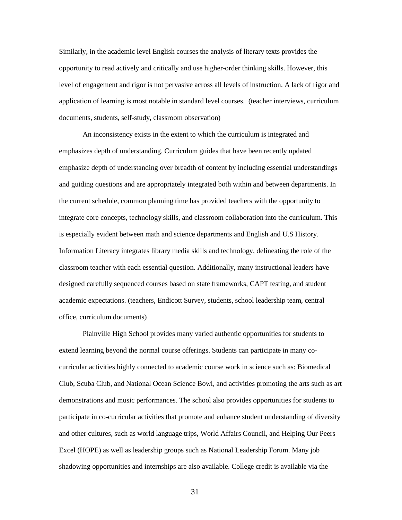Similarly, in the academic level English courses the analysis of literary texts provides the opportunity to read actively and critically and use higher-order thinking skills. However, this level of engagement and rigor is not pervasive across all levels of instruction. A lack of rigor and application of learning is most notable in standard level courses. (teacher interviews, curriculum documents, students, self-study, classroom observation)

An inconsistency exists in the extent to which the curriculum is integrated and emphasizes depth of understanding. Curriculum guides that have been recently updated emphasize depth of understanding over breadth of content by including essential understandings and guiding questions and are appropriately integrated both within and between departments. In the current schedule, common planning time has provided teachers with the opportunity to integrate core concepts, technology skills, and classroom collaboration into the curriculum. This is especially evident between math and science departments and English and U.S History. Information Literacy integrates library media skills and technology, delineating the role of the classroom teacher with each essential question. Additionally, many instructional leaders have designed carefully sequenced courses based on state frameworks, CAPT testing, and student academic expectations. (teachers, Endicott Survey, students, school leadership team, central office, curriculum documents)

Plainville High School provides many varied authentic opportunities for students to extend learning beyond the normal course offerings. Students can participate in many cocurricular activities highly connected to academic course work in science such as: Biomedical Club, Scuba Club, and National Ocean Science Bowl, and activities promoting the arts such as art demonstrations and music performances. The school also provides opportunities for students to participate in co-curricular activities that promote and enhance student understanding of diversity and other cultures, such as world language trips, World Affairs Council, and Helping Our Peers Excel (HOPE) as well as leadership groups such as National Leadership Forum. Many job shadowing opportunities and internships are also available. College credit is available via the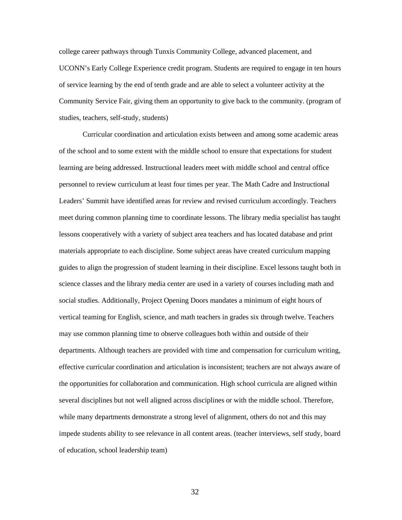college career pathways through Tunxis Community College, advanced placement, and UCONN's Early College Experience credit program. Students are required to engage in ten hours of service learning by the end of tenth grade and are able to select a volunteer activity at the Community Service Fair, giving them an opportunity to give back to the community. (program of studies, teachers, self-study, students)

Curricular coordination and articulation exists between and among some academic areas of the school and to some extent with the middle school to ensure that expectations for student learning are being addressed. Instructional leaders meet with middle school and central office personnel to review curriculum at least four times per year. The Math Cadre and Instructional Leaders' Summit have identified areas for review and revised curriculum accordingly. Teachers meet during common planning time to coordinate lessons. The library media specialist has taught lessons cooperatively with a variety of subject area teachers and has located database and print materials appropriate to each discipline. Some subject areas have created curriculum mapping guides to align the progression of student learning in their discipline. Excel lessons taught both in science classes and the library media center are used in a variety of courses including math and social studies. Additionally, Project Opening Doors mandates a minimum of eight hours of vertical teaming for English, science, and math teachers in grades six through twelve. Teachers may use common planning time to observe colleagues both within and outside of their departments. Although teachers are provided with time and compensation for curriculum writing, effective curricular coordination and articulation is inconsistent; teachers are not always aware of the opportunities for collaboration and communication. High school curricula are aligned within several disciplines but not well aligned across disciplines or with the middle school. Therefore, while many departments demonstrate a strong level of alignment, others do not and this may impede students ability to see relevance in all content areas. (teacher interviews, self study, board of education, school leadership team)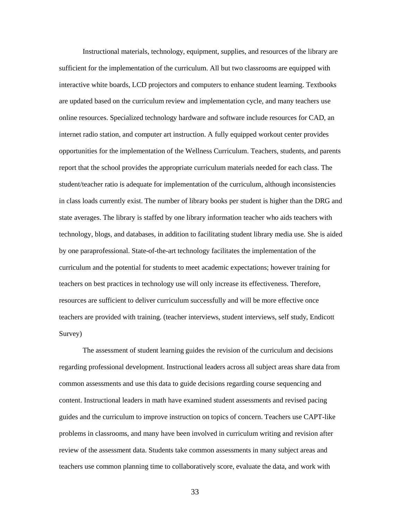Instructional materials, technology, equipment, supplies, and resources of the library are sufficient for the implementation of the curriculum. All but two classrooms are equipped with interactive white boards, LCD projectors and computers to enhance student learning. Textbooks are updated based on the curriculum review and implementation cycle, and many teachers use online resources. Specialized technology hardware and software include resources for CAD, an internet radio station, and computer art instruction. A fully equipped workout center provides opportunities for the implementation of the Wellness Curriculum. Teachers, students, and parents report that the school provides the appropriate curriculum materials needed for each class. The student/teacher ratio is adequate for implementation of the curriculum, although inconsistencies in class loads currently exist. The number of library books per student is higher than the DRG and state averages. The library is staffed by one library information teacher who aids teachers with technology, blogs, and databases, in addition to facilitating student library media use. She is aided by one paraprofessional. State-of-the-art technology facilitates the implementation of the curriculum and the potential for students to meet academic expectations; however training for teachers on best practices in technology use will only increase its effectiveness. Therefore, resources are sufficient to deliver curriculum successfully and will be more effective once teachers are provided with training. (teacher interviews, student interviews, self study, Endicott Survey)

The assessment of student learning guides the revision of the curriculum and decisions regarding professional development. Instructional leaders across all subject areas share data from common assessments and use this data to guide decisions regarding course sequencing and content. Instructional leaders in math have examined student assessments and revised pacing guides and the curriculum to improve instruction on topics of concern. Teachers use CAPT-like problems in classrooms, and many have been involved in curriculum writing and revision after review of the assessment data. Students take common assessments in many subject areas and teachers use common planning time to collaboratively score, evaluate the data, and work with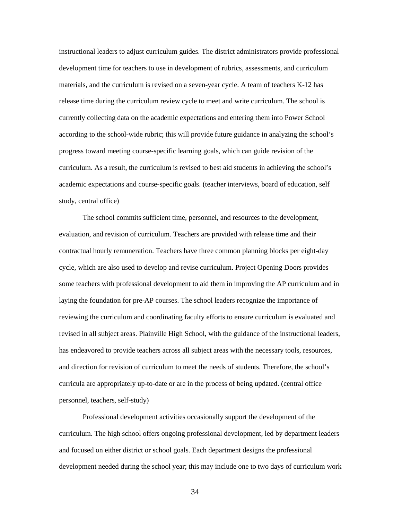instructional leaders to adjust curriculum guides. The district administrators provide professional development time for teachers to use in development of rubrics, assessments, and curriculum materials, and the curriculum is revised on a seven-year cycle. A team of teachers K-12 has release time during the curriculum review cycle to meet and write curriculum. The school is currently collecting data on the academic expectations and entering them into Power School according to the school-wide rubric; this will provide future guidance in analyzing the school's progress toward meeting course-specific learning goals, which can guide revision of the curriculum. As a result, the curriculum is revised to best aid students in achieving the school's academic expectations and course-specific goals. (teacher interviews, board of education, self study, central office)

The school commits sufficient time, personnel, and resources to the development, evaluation, and revision of curriculum. Teachers are provided with release time and their contractual hourly remuneration. Teachers have three common planning blocks per eight-day cycle, which are also used to develop and revise curriculum. Project Opening Doors provides some teachers with professional development to aid them in improving the AP curriculum and in laying the foundation for pre-AP courses. The school leaders recognize the importance of reviewing the curriculum and coordinating faculty efforts to ensure curriculum is evaluated and revised in all subject areas. Plainville High School, with the guidance of the instructional leaders, has endeavored to provide teachers across all subject areas with the necessary tools, resources, and direction for revision of curriculum to meet the needs of students. Therefore, the school's curricula are appropriately up-to-date or are in the process of being updated. (central office personnel, teachers, self-study)

Professional development activities occasionally support the development of the curriculum. The high school offers ongoing professional development, led by department leaders and focused on either district or school goals. Each department designs the professional development needed during the school year; this may include one to two days of curriculum work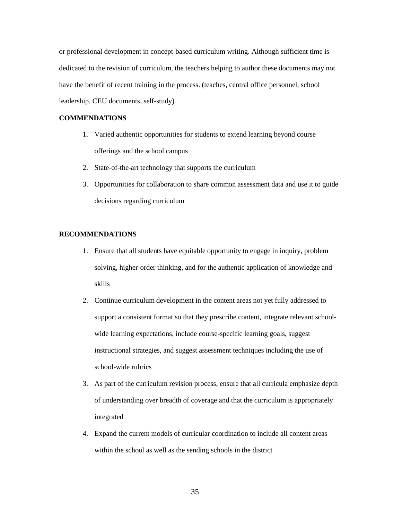or professional development in concept-based curriculum writing. Although sufficient time is dedicated to the revision of curriculum, the teachers helping to author these documents may not have the benefit of recent training in the process. (teaches, central office personnel, school leadership, CEU documents, self-study)

# **COMMENDATIONS**

- 1. Varied authentic opportunities for students to extend learning beyond course offerings and the school campus
- 2. State-of-the-art technology that supports the curriculum
- 3. Opportunities for collaboration to share common assessment data and use it to guide decisions regarding curriculum

# **RECOMMENDATIONS**

- 1. Ensure that all students have equitable opportunity to engage in inquiry, problem solving, higher-order thinking, and for the authentic application of knowledge and skills
- 2. Continue curriculum development in the content areas not yet fully addressed to support a consistent format so that they prescribe content, integrate relevant schoolwide learning expectations, include course-specific learning goals, suggest instructional strategies, and suggest assessment techniques including the use of school-wide rubrics
- 3. As part of the curriculum revision process, ensure that all curricula emphasize depth of understanding over breadth of coverage and that the curriculum is appropriately integrated
- 4. Expand the current models of curricular coordination to include all content areas within the school as well as the sending schools in the district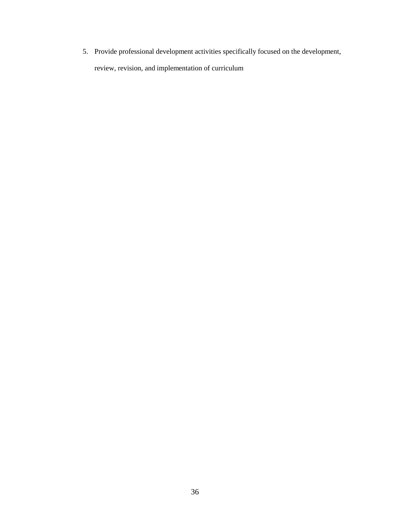5. Provide professional development activities specifically focused on the development, review, revision, and implementation of curriculum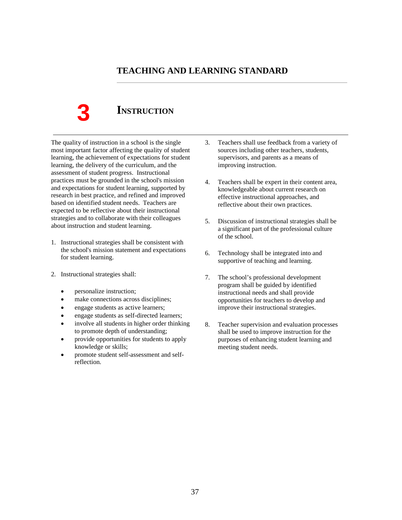## **TEACHING AND LEARNING STANDARD**

**3**

# **INSTRUCTION**

The quality of instruction in a school is the single most important factor affecting the quality of student learning, the achievement of expectations for student learning, the delivery of the curriculum, and the assessment of student progress. Instructional practices must be grounded in the school's mission and expectations for student learning, supported by research in best practice, and refined and improved based on identified student needs. Teachers are expected to be reflective about their instructional strategies and to collaborate with their colleagues about instruction and student learning.

- 1. Instructional strategies shall be consistent with the school's mission statement and expectations for student learning.
- 2. Instructional strategies shall:
	- personalize instruction;
	- make connections across disciplines;
	- engage students as active learners;
	- engage students as self-directed learners;
	- involve all students in higher order thinking to promote depth of understanding;
	- provide opportunities for students to apply knowledge or skills;
	- promote student self-assessment and selfreflection.
- 3. Teachers shall use feedback from a variety of sources including other teachers, students, supervisors, and parents as a means of improving instruction.
- 4. Teachers shall be expert in their content area, knowledgeable about current research on effective instructional approaches, and reflective about their own practices.
- 5. Discussion of instructional strategies shall be a significant part of the professional culture of the school.
- 6. Technology shall be integrated into and supportive of teaching and learning.
- 7. The school's professional development program shall be guided by identified instructional needs and shall provide opportunities for teachers to develop and improve their instructional strategies.
- 8. Teacher supervision and evaluation processes shall be used to improve instruction for the purposes of enhancing student learning and meeting student needs.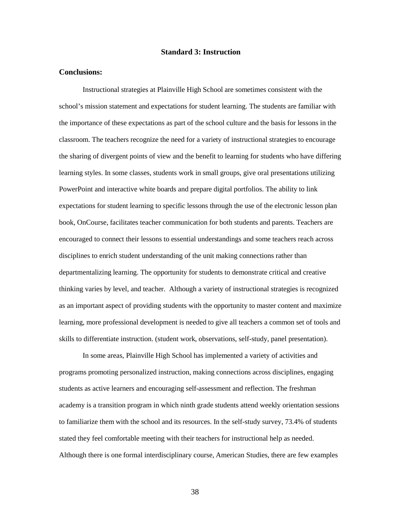#### **Standard 3: Instruction**

#### **Conclusions:**

Instructional strategies at Plainville High School are sometimes consistent with the school's mission statement and expectations for student learning. The students are familiar with the importance of these expectations as part of the school culture and the basis for lessons in the classroom. The teachers recognize the need for a variety of instructional strategies to encourage the sharing of divergent points of view and the benefit to learning for students who have differing learning styles. In some classes, students work in small groups, give oral presentations utilizing PowerPoint and interactive white boards and prepare digital portfolios. The ability to link expectations for student learning to specific lessons through the use of the electronic lesson plan book, OnCourse, facilitates teacher communication for both students and parents. Teachers are encouraged to connect their lessons to essential understandings and some teachers reach across disciplines to enrich student understanding of the unit making connections rather than departmentalizing learning. The opportunity for students to demonstrate critical and creative thinking varies by level, and teacher. Although a variety of instructional strategies is recognized as an important aspect of providing students with the opportunity to master content and maximize learning, more professional development is needed to give all teachers a common set of tools and skills to differentiate instruction. (student work, observations, self-study, panel presentation).

In some areas, Plainville High School has implemented a variety of activities and programs promoting personalized instruction, making connections across disciplines, engaging students as active learners and encouraging self-assessment and reflection. The freshman academy is a transition program in which ninth grade students attend weekly orientation sessions to familiarize them with the school and its resources. In the self-study survey, 73.4% of students stated they feel comfortable meeting with their teachers for instructional help as needed. Although there is one formal interdisciplinary course, American Studies, there are few examples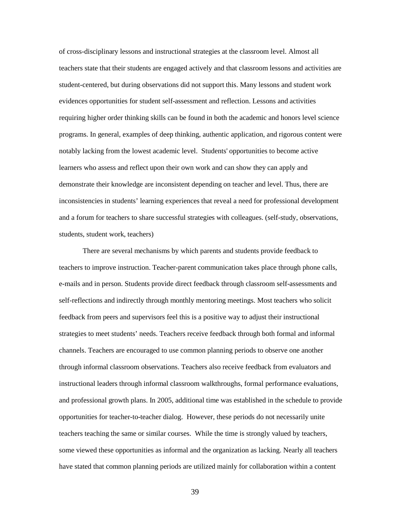of cross-disciplinary lessons and instructional strategies at the classroom level. Almost all teachers state that their students are engaged actively and that classroom lessons and activities are student-centered, but during observations did not support this. Many lessons and student work evidences opportunities for student self-assessment and reflection. Lessons and activities requiring higher order thinking skills can be found in both the academic and honors level science programs. In general, examples of deep thinking, authentic application, and rigorous content were notably lacking from the lowest academic level. Students' opportunities to become active learners who assess and reflect upon their own work and can show they can apply and demonstrate their knowledge are inconsistent depending on teacher and level. Thus, there are inconsistencies in students' learning experiences that reveal a need for professional development and a forum for teachers to share successful strategies with colleagues. (self-study, observations, students, student work, teachers)

There are several mechanisms by which parents and students provide feedback to teachers to improve instruction. Teacher-parent communication takes place through phone calls, e-mails and in person. Students provide direct feedback through classroom self-assessments and self-reflections and indirectly through monthly mentoring meetings. Most teachers who solicit feedback from peers and supervisors feel this is a positive way to adjust their instructional strategies to meet students' needs. Teachers receive feedback through both formal and informal channels. Teachers are encouraged to use common planning periods to observe one another through informal classroom observations. Teachers also receive feedback from evaluators and instructional leaders through informal classroom walkthroughs, formal performance evaluations, and professional growth plans. In 2005, additional time was established in the schedule to provide opportunities for teacher-to-teacher dialog. However, these periods do not necessarily unite teachers teaching the same or similar courses. While the time is strongly valued by teachers, some viewed these opportunities as informal and the organization as lacking. Nearly all teachers have stated that common planning periods are utilized mainly for collaboration within a content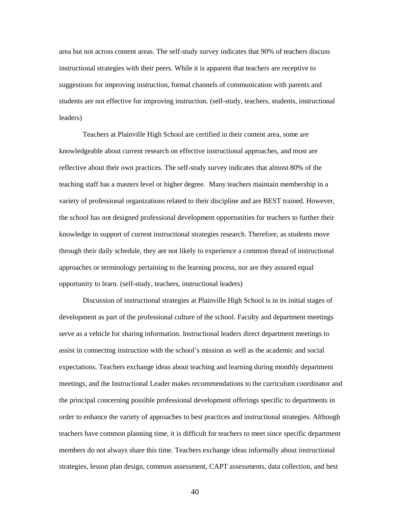area but not across content areas. The self-study survey indicates that 90% of teachers discuss instructional strategies with their peers. While it is apparent that teachers are receptive to suggestions for improving instruction, formal channels of communication with parents and students are not effective for improving instruction. (self-study, teachers, students, instructional leaders)

Teachers at Plainville High School are certified in their content area, some are knowledgeable about current research on effective instructional approaches, and most are reflective about their own practices. The self-study survey indicates that almost 80% of the teaching staff has a masters level or higher degree. Many teachers maintain membership in a variety of professional organizations related to their discipline and are BEST trained. However, the school has not designed professional development opportunities for teachers to further their knowledge in support of current instructional strategies research. Therefore, as students move through their daily schedule, they are not likely to experience a common thread of instructional approaches or terminology pertaining to the learning process, nor are they assured equal opportunity to learn. (self-study, teachers, instructional leaders)

Discussion of instructional strategies at Plainville High School is in its initial stages of development as part of the professional culture of the school. Faculty and department meetings serve as a vehicle for sharing information. Instructional leaders direct department meetings to assist in connecting instruction with the school's mission as well as the academic and social expectations. Teachers exchange ideas about teaching and learning during monthly department meetings, and the Instructional Leader makes recommendations to the curriculum coordinator and the principal concerning possible professional development offerings specific to departments in order to enhance the variety of approaches to best practices and instructional strategies. Although teachers have common planning time, it is difficult for teachers to meet since specific department members do not always share this time. Teachers exchange ideas informally about instructional strategies, lesson plan design, common assessment, CAPT assessments, data collection, and best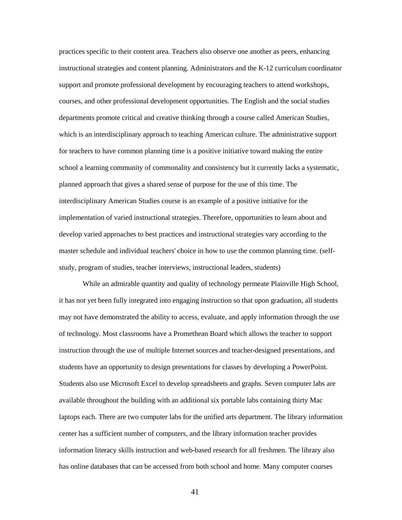practices specific to their content area. Teachers also observe one another as peers, enhancing instructional strategies and content planning. Administrators and the K-12 curriculum coordinator support and promote professional development by encouraging teachers to attend workshops, courses, and other professional development opportunities. The English and the social studies departments promote critical and creative thinking through a course called American Studies, which is an interdisciplinary approach to teaching American culture. The administrative support for teachers to have common planning time is a positive initiative toward making the entire school a learning community of commonality and consistency but it currently lacks a systematic, planned approach that gives a shared sense of purpose for the use of this time. The interdisciplinary American Studies course is an example of a positive initiative for the implementation of varied instructional strategies. Therefore, opportunities to learn about and develop varied approaches to best practices and instructional strategies vary according to the master schedule and individual teachers' choice in how to use the common planning time. (selfstudy, program of studies, teacher interviews, instructional leaders, students)

While an admirable quantity and quality of technology permeate Plainville High School, it has not yet been fully integrated into engaging instruction so that upon graduation, all students may not have demonstrated the ability to access, evaluate, and apply information through the use of technology. Most classrooms have a Promethean Board which allows the teacher to support instruction through the use of multiple Internet sources and teacher-designed presentations, and students have an opportunity to design presentations for classes by developing a PowerPoint. Students also use Microsoft Excel to develop spreadsheets and graphs. Seven computer labs are available throughout the building with an additional six portable labs containing thirty Mac laptops each. There are two computer labs for the unified arts department. The library information center has a sufficient number of computers, and the library information teacher provides information literacy skills instruction and web-based research for all freshmen. The library also has online databases that can be accessed from both school and home. Many computer courses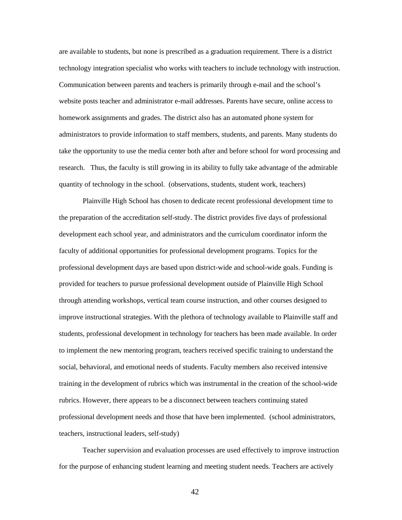are available to students, but none is prescribed as a graduation requirement. There is a district technology integration specialist who works with teachers to include technology with instruction. Communication between parents and teachers is primarily through e-mail and the school's website posts teacher and administrator e-mail addresses. Parents have secure, online access to homework assignments and grades. The district also has an automated phone system for administrators to provide information to staff members, students, and parents. Many students do take the opportunity to use the media center both after and before school for word processing and research. Thus, the faculty is still growing in its ability to fully take advantage of the admirable quantity of technology in the school. (observations, students, student work, teachers)

Plainville High School has chosen to dedicate recent professional development time to the preparation of the accreditation self-study. The district provides five days of professional development each school year, and administrators and the curriculum coordinator inform the faculty of additional opportunities for professional development programs. Topics for the professional development days are based upon district-wide and school-wide goals. Funding is provided for teachers to pursue professional development outside of Plainville High School through attending workshops, vertical team course instruction, and other courses designed to improve instructional strategies. With the plethora of technology available to Plainville staff and students, professional development in technology for teachers has been made available. In order to implement the new mentoring program, teachers received specific training to understand the social, behavioral, and emotional needs of students. Faculty members also received intensive training in the development of rubrics which was instrumental in the creation of the school-wide rubrics. However, there appears to be a disconnect between teachers continuing stated professional development needs and those that have been implemented. (school administrators, teachers, instructional leaders, self-study)

Teacher supervision and evaluation processes are used effectively to improve instruction for the purpose of enhancing student learning and meeting student needs. Teachers are actively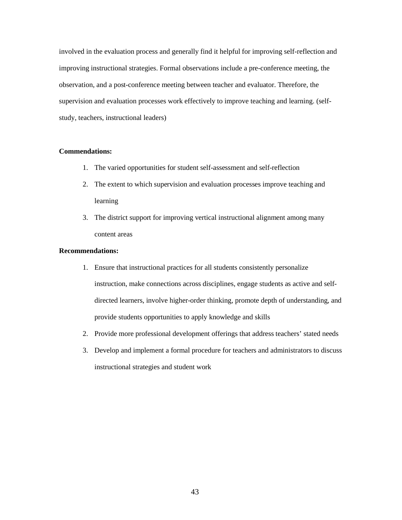involved in the evaluation process and generally find it helpful for improving self-reflection and improving instructional strategies. Formal observations include a pre-conference meeting, the observation, and a post-conference meeting between teacher and evaluator. Therefore, the supervision and evaluation processes work effectively to improve teaching and learning. (selfstudy, teachers, instructional leaders)

#### **Commendations:**

- 1. The varied opportunities for student self-assessment and self-reflection
- 2. The extent to which supervision and evaluation processes improve teaching and learning
- 3. The district support for improving vertical instructional alignment among many content areas

#### **Recommendations:**

- 1. Ensure that instructional practices for all students consistently personalize instruction, make connections across disciplines, engage students as active and selfdirected learners, involve higher-order thinking, promote depth of understanding, and provide students opportunities to apply knowledge and skills
- 2. Provide more professional development offerings that address teachers' stated needs
- 3. Develop and implement a formal procedure for teachers and administrators to discuss instructional strategies and student work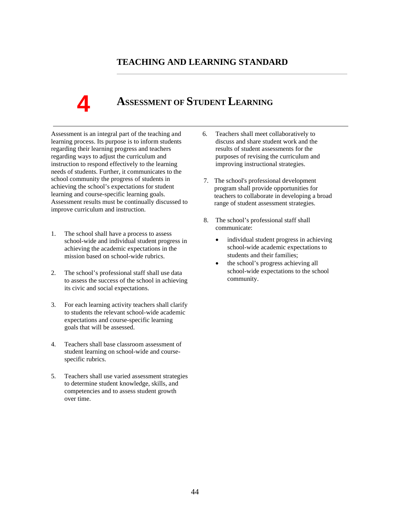# **TEACHING AND LEARNING STANDARD**

# **4**

# **ASSESSMENT OF STUDENT LEARNING**

Assessment is an integral part of the teaching and learning process. Its purpose is to inform students regarding their learning progress and teachers regarding ways to adjust the curriculum and instruction to respond effectively to the learning needs of students. Further, it communicates to the school community the progress of students in achieving the school's expectations for student learning and course-specific learning goals. Assessment results must be continually discussed to improve curriculum and instruction.

- 1. The school shall have a process to assess school-wide and individual student progress in achieving the academic expectations in the mission based on school-wide rubrics.
- 2. The school's professional staff shall use data to assess the success of the school in achieving its civic and social expectations.
- 3. For each learning activity teachers shall clarify to students the relevant school-wide academic expectations and course-specific learning goals that will be assessed.
- 4. Teachers shall base classroom assessment of student learning on school-wide and coursespecific rubrics.
- 5. Teachers shall use varied assessment strategies to determine student knowledge, skills, and competencies and to assess student growth over time.
- 6. Teachers shall meet collaboratively to discuss and share student work and the results of student assessments for the purposes of revising the curriculum and improving instructional strategies.
- 7. The school's professional development program shall provide opportunities for teachers to collaborate in developing a broad range of student assessment strategies.
- 8. The school's professional staff shall communicate:
	- individual student progress in achieving school-wide academic expectations to students and their families;
	- the school's progress achieving all school-wide expectations to the school community.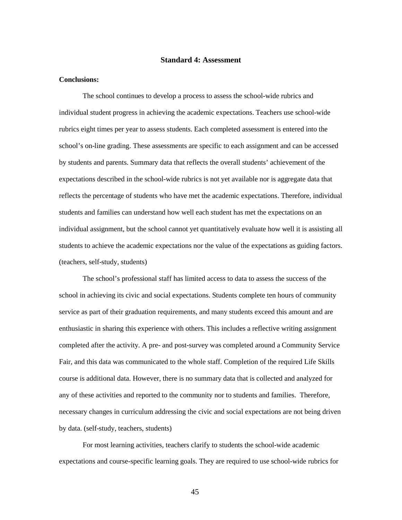#### **Standard 4: Assessment**

#### **Conclusions:**

The school continues to develop a process to assess the school-wide rubrics and individual student progress in achieving the academic expectations. Teachers use school-wide rubrics eight times per year to assess students. Each completed assessment is entered into the school's on-line grading. These assessments are specific to each assignment and can be accessed by students and parents. Summary data that reflects the overall students' achievement of the expectations described in the school-wide rubrics is not yet available nor is aggregate data that reflects the percentage of students who have met the academic expectations. Therefore, individual students and families can understand how well each student has met the expectations on an individual assignment, but the school cannot yet quantitatively evaluate how well it is assisting all students to achieve the academic expectations nor the value of the expectations as guiding factors. (teachers, self-study, students)

The school's professional staff has limited access to data to assess the success of the school in achieving its civic and social expectations. Students complete ten hours of community service as part of their graduation requirements, and many students exceed this amount and are enthusiastic in sharing this experience with others. This includes a reflective writing assignment completed after the activity. A pre- and post-survey was completed around a Community Service Fair, and this data was communicated to the whole staff. Completion of the required Life Skills course is additional data. However, there is no summary data that is collected and analyzed for any of these activities and reported to the community nor to students and families. Therefore, necessary changes in curriculum addressing the civic and social expectations are not being driven by data. (self-study, teachers, students)

For most learning activities, teachers clarify to students the school-wide academic expectations and course-specific learning goals. They are required to use school-wide rubrics for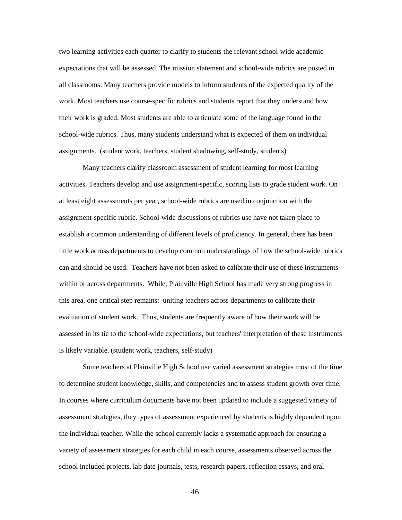two learning activities each quarter to clarify to students the relevant school-wide academic expectations that will be assessed. The mission statement and school-wide rubrics are posted in all classrooms. Many teachers provide models to inform students of the expected quality of the work. Most teachers use course-specific rubrics and students report that they understand how their work is graded. Most students are able to articulate some of the language found in the school-wide rubrics. Thus, many students understand what is expected of them on individual assignments. (student work, teachers, student shadowing, self-study, students)

Many teachers clarify classroom assessment of student learning for most learning activities. Teachers develop and use assignment-specific, scoring lists to grade student work. On at least eight assessments per year, school-wide rubrics are used in conjunction with the assignment-specific rubric. School-wide discussions of rubrics use have not taken place to establish a common understanding of different levels of proficiency. In general, there has been little work across departments to develop common understandings of how the school-wide rubrics can and should be used. Teachers have not been asked to calibrate their use of these instruments within or across departments. While, Plainville High School has made very strong progress in this area, one critical step remains: uniting teachers across departments to calibrate their evaluation of student work. Thus, students are frequently aware of how their work will be assessed in its tie to the school-wide expectations, but teachers' interpretation of these instruments is likely variable. (student work, teachers, self-study)

Some teachers at Plainville High School use varied assessment strategies most of the time to determine student knowledge, skills, and competencies and to assess student growth over time. In courses where curriculum documents have not been updated to include a suggested variety of assessment strategies, they types of assessment experienced by students is highly dependent upon the individual teacher. While the school currently lacks a systematic approach for ensuring a variety of assessment strategies for each child in each course, assessments observed across the school included projects, lab date journals, tests, research papers, reflection essays, and oral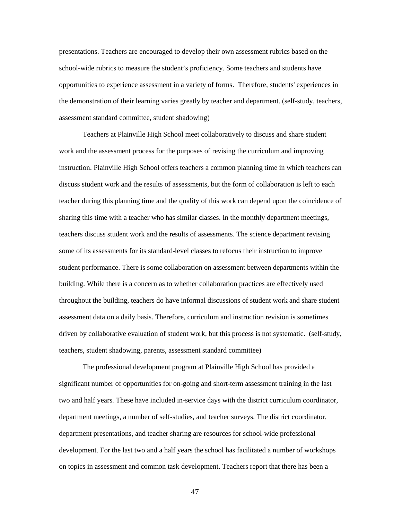presentations. Teachers are encouraged to develop their own assessment rubrics based on the school-wide rubrics to measure the student's proficiency. Some teachers and students have opportunities to experience assessment in a variety of forms. Therefore, students' experiences in the demonstration of their learning varies greatly by teacher and department. (self-study, teachers, assessment standard committee, student shadowing)

Teachers at Plainville High School meet collaboratively to discuss and share student work and the assessment process for the purposes of revising the curriculum and improving instruction. Plainville High School offers teachers a common planning time in which teachers can discuss student work and the results of assessments, but the form of collaboration is left to each teacher during this planning time and the quality of this work can depend upon the coincidence of sharing this time with a teacher who has similar classes. In the monthly department meetings, teachers discuss student work and the results of assessments. The science department revising some of its assessments for its standard-level classes to refocus their instruction to improve student performance. There is some collaboration on assessment between departments within the building. While there is a concern as to whether collaboration practices are effectively used throughout the building, teachers do have informal discussions of student work and share student assessment data on a daily basis. Therefore, curriculum and instruction revision is sometimes driven by collaborative evaluation of student work, but this process is not systematic. (self-study, teachers, student shadowing, parents, assessment standard committee)

The professional development program at Plainville High School has provided a significant number of opportunities for on-going and short-term assessment training in the last two and half years. These have included in-service days with the district curriculum coordinator, department meetings, a number of self-studies, and teacher surveys. The district coordinator, department presentations, and teacher sharing are resources for school-wide professional development. For the last two and a half years the school has facilitated a number of workshops on topics in assessment and common task development. Teachers report that there has been a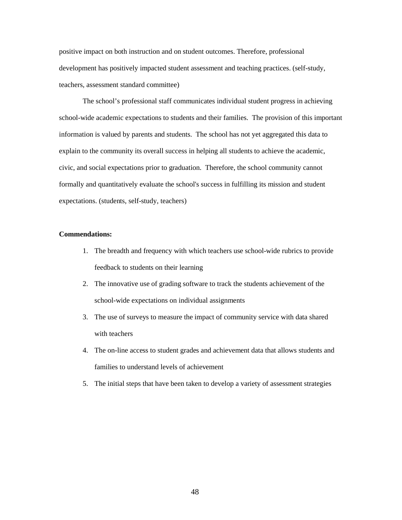positive impact on both instruction and on student outcomes. Therefore, professional development has positively impacted student assessment and teaching practices. (self-study, teachers, assessment standard committee)

The school's professional staff communicates individual student progress in achieving school-wide academic expectations to students and their families. The provision of this important information is valued by parents and students. The school has not yet aggregated this data to explain to the community its overall success in helping all students to achieve the academic, civic, and social expectations prior to graduation. Therefore, the school community cannot formally and quantitatively evaluate the school's success in fulfilling its mission and student expectations. (students, self-study, teachers)

#### **Commendations:**

- 1. The breadth and frequency with which teachers use school-wide rubrics to provide feedback to students on their learning
- 2. The innovative use of grading software to track the students achievement of the school-wide expectations on individual assignments
- 3. The use of surveys to measure the impact of community service with data shared with teachers
- 4. The on-line access to student grades and achievement data that allows students and families to understand levels of achievement
- 5. The initial steps that have been taken to develop a variety of assessment strategies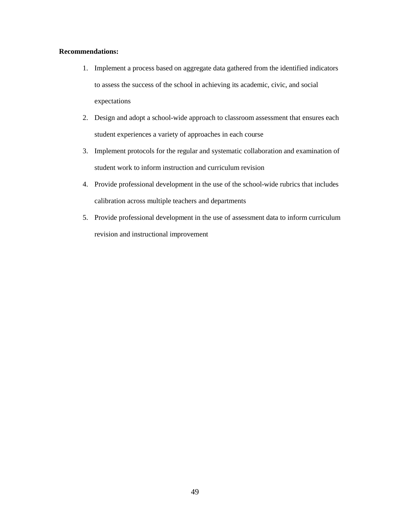#### **Recommendations:**

- 1. Implement a process based on aggregate data gathered from the identified indicators to assess the success of the school in achieving its academic, civic, and social expectations
- 2. Design and adopt a school-wide approach to classroom assessment that ensures each student experiences a variety of approaches in each course
- 3. Implement protocols for the regular and systematic collaboration and examination of student work to inform instruction and curriculum revision
- 4. Provide professional development in the use of the school-wide rubrics that includes calibration across multiple teachers and departments
- 5. Provide professional development in the use of assessment data to inform curriculum revision and instructional improvement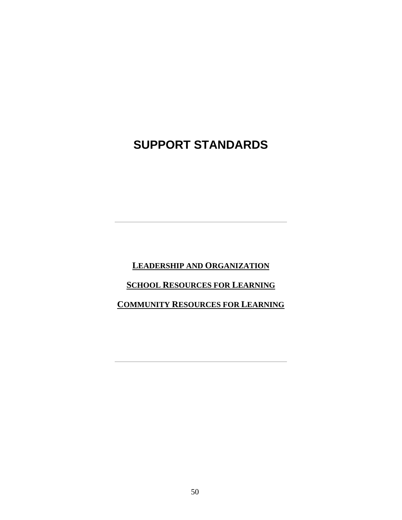# **SUPPORT STANDARDS**

**LEADERSHIP AND ORGANIZATION**

## **SCHOOL RESOURCES FOR LEARNING**

# **COMMUNITY RESOURCES FOR LEARNING**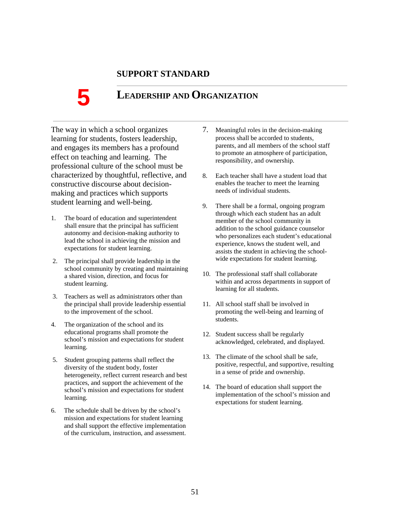## **SUPPORT STANDARD**

# **LEADERSHIP AND ORGANIZATION**

The way in which a school organizes learning for students, fosters leadership, and engages its members has a profound effect on teaching and learning. The professional culture of the school must be characterized by thoughtful, reflective, and constructive discourse about decisionmaking and practices which supports student learning and well-being.

- 1. The board of education and superintendent shall ensure that the principal has sufficient autonomy and decision-making authority to lead the school in achieving the mission and expectations for student learning.
- 2. The principal shall provide leadership in the school community by creating and maintaining a shared vision, direction, and focus for student learning.
- 3. Teachers as well as administrators other than the principal shall provide leadership essential to the improvement of the school.
- 4. The organization of the school and its educational programs shall promote the school's mission and expectations for student learning.
- 5. Student grouping patterns shall reflect the diversity of the student body, foster heterogeneity, reflect current research and best practices, and support the achievement of the school's mission and expectations for student learning.
- 6. The schedule shall be driven by the school's mission and expectations for student learning and shall support the effective implementation of the curriculum, instruction, and assessment.
- 7. Meaningful roles in the decision-making process shall be accorded to students, parents, and all members of the school staff to promote an atmosphere of participation, responsibility, and ownership.
- 8. Each teacher shall have a student load that enables the teacher to meet the learning needs of individual students.
- 9. There shall be a formal, ongoing program through which each student has an adult member of the school community in addition to the school guidance counselor who personalizes each student's educational experience, knows the student well, and assists the student in achieving the schoolwide expectations for student learning.
- 10. The professional staff shall collaborate within and across departments in support of learning for all students.
- 11. All school staff shall be involved in promoting the well-being and learning of students.
- 12. Student success shall be regularly acknowledged, celebrated, and displayed.
- 13. The climate of the school shall be safe, positive, respectful, and supportive, resulting in a sense of pride and ownership.
- 14. The board of education shall support the implementation of the school's mission and expectations for student learning.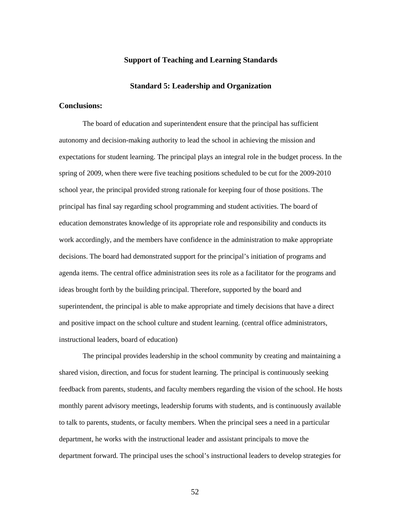#### **Support of Teaching and Learning Standards**

#### **Standard 5: Leadership and Organization**

#### **Conclusions:**

The board of education and superintendent ensure that the principal has sufficient autonomy and decision-making authority to lead the school in achieving the mission and expectations for student learning. The principal plays an integral role in the budget process. In the spring of 2009, when there were five teaching positions scheduled to be cut for the 2009-2010 school year, the principal provided strong rationale for keeping four of those positions. The principal has final say regarding school programming and student activities. The board of education demonstrates knowledge of its appropriate role and responsibility and conducts its work accordingly, and the members have confidence in the administration to make appropriate decisions. The board had demonstrated support for the principal's initiation of programs and agenda items. The central office administration sees its role as a facilitator for the programs and ideas brought forth by the building principal. Therefore, supported by the board and superintendent, the principal is able to make appropriate and timely decisions that have a direct and positive impact on the school culture and student learning. (central office administrators, instructional leaders, board of education)

The principal provides leadership in the school community by creating and maintaining a shared vision, direction, and focus for student learning. The principal is continuously seeking feedback from parents, students, and faculty members regarding the vision of the school. He hosts monthly parent advisory meetings, leadership forums with students, and is continuously available to talk to parents, students, or faculty members. When the principal sees a need in a particular department, he works with the instructional leader and assistant principals to move the department forward. The principal uses the school's instructional leaders to develop strategies for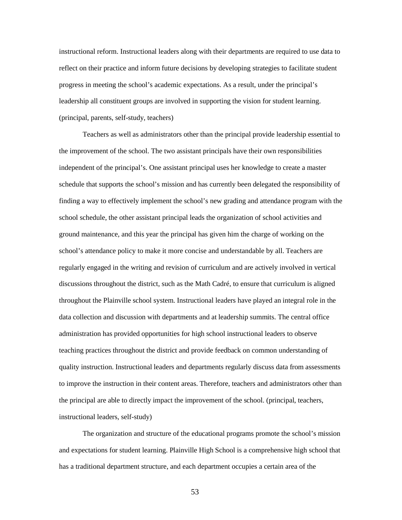instructional reform. Instructional leaders along with their departments are required to use data to reflect on their practice and inform future decisions by developing strategies to facilitate student progress in meeting the school's academic expectations. As a result, under the principal's leadership all constituent groups are involved in supporting the vision for student learning. (principal, parents, self-study, teachers)

Teachers as well as administrators other than the principal provide leadership essential to the improvement of the school. The two assistant principals have their own responsibilities independent of the principal's. One assistant principal uses her knowledge to create a master schedule that supports the school's mission and has currently been delegated the responsibility of finding a way to effectively implement the school's new grading and attendance program with the school schedule, the other assistant principal leads the organization of school activities and ground maintenance, and this year the principal has given him the charge of working on the school's attendance policy to make it more concise and understandable by all. Teachers are regularly engaged in the writing and revision of curriculum and are actively involved in vertical discussions throughout the district, such as the Math Cadré, to ensure that curriculum is aligned throughout the Plainville school system. Instructional leaders have played an integral role in the data collection and discussion with departments and at leadership summits. The central office administration has provided opportunities for high school instructional leaders to observe teaching practices throughout the district and provide feedback on common understanding of quality instruction. Instructional leaders and departments regularly discuss data from assessments to improve the instruction in their content areas. Therefore, teachers and administrators other than the principal are able to directly impact the improvement of the school. (principal, teachers, instructional leaders, self-study)

The organization and structure of the educational programs promote the school's mission and expectations for student learning. Plainville High School is a comprehensive high school that has a traditional department structure, and each department occupies a certain area of the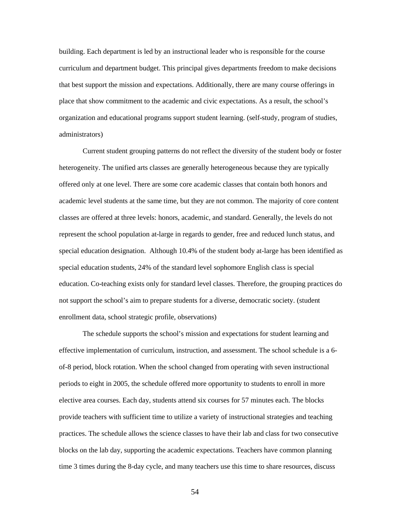building. Each department is led by an instructional leader who is responsible for the course curriculum and department budget. This principal gives departments freedom to make decisions that best support the mission and expectations. Additionally, there are many course offerings in place that show commitment to the academic and civic expectations. As a result, the school's organization and educational programs support student learning. (self-study, program of studies, administrators)

Current student grouping patterns do not reflect the diversity of the student body or foster heterogeneity. The unified arts classes are generally heterogeneous because they are typically offered only at one level. There are some core academic classes that contain both honors and academic level students at the same time, but they are not common. The majority of core content classes are offered at three levels: honors, academic, and standard. Generally, the levels do not represent the school population at-large in regards to gender, free and reduced lunch status, and special education designation. Although 10.4% of the student body at-large has been identified as special education students, 24% of the standard level sophomore English class is special education. Co-teaching exists only for standard level classes. Therefore, the grouping practices do not support the school's aim to prepare students for a diverse, democratic society. (student enrollment data, school strategic profile, observations)

The schedule supports the school's mission and expectations for student learning and effective implementation of curriculum, instruction, and assessment. The school schedule is a 6 of-8 period, block rotation. When the school changed from operating with seven instructional periods to eight in 2005, the schedule offered more opportunity to students to enroll in more elective area courses. Each day, students attend six courses for 57 minutes each. The blocks provide teachers with sufficient time to utilize a variety of instructional strategies and teaching practices. The schedule allows the science classes to have their lab and class for two consecutive blocks on the lab day, supporting the academic expectations. Teachers have common planning time 3 times during the 8-day cycle, and many teachers use this time to share resources, discuss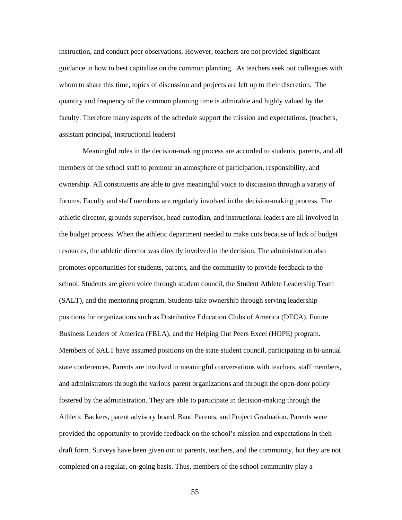instruction, and conduct peer observations. However, teachers are not provided significant guidance in how to best capitalize on the common planning. As teachers seek out colleagues with whom to share this time, topics of discussion and projects are left up to their discretion. The quantity and frequency of the common planning time is admirable and highly valued by the faculty. Therefore many aspects of the schedule support the mission and expectations. (teachers, assistant principal, instructional leaders)

Meaningful roles in the decision-making process are accorded to students, parents, and all members of the school staff to promote an atmosphere of participation, responsibility, and ownership. All constituents are able to give meaningful voice to discussion through a variety of forums. Faculty and staff members are regularly involved in the decision-making process. The athletic director, grounds supervisor, head custodian, and instructional leaders are all involved in the budget process. When the athletic department needed to make cuts because of lack of budget resources, the athletic director was directly involved in the decision. The administration also promotes opportunities for students, parents, and the community to provide feedback to the school. Students are given voice through student council, the Student Athlete Leadership Team (SALT), and the mentoring program. Students take ownership through serving leadership positions for organizations such as Distributive Education Clubs of America (DECA), Future Business Leaders of America (FBLA), and the Helping Out Peers Excel (HOPE) program. Members of SALT have assumed positions on the state student council, participating in bi-annual state conferences. Parents are involved in meaningful conversations with teachers, staff members, and administrators through the various parent organizations and through the open-door policy fostered by the administration. They are able to participate in decision-making through the Athletic Backers, parent advisory board, Band Parents, and Project Graduation. Parents were provided the opportunity to provide feedback on the school's mission and expectations in their draft form. Surveys have been given out to parents, teachers, and the community, but they are not completed on a regular, on-going basis. Thus, members of the school community play a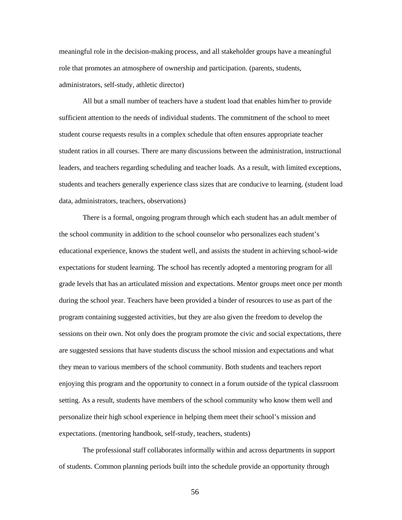meaningful role in the decision-making process, and all stakeholder groups have a meaningful role that promotes an atmosphere of ownership and participation. (parents, students, administrators, self-study, athletic director)

All but a small number of teachers have a student load that enables him/her to provide sufficient attention to the needs of individual students. The commitment of the school to meet student course requests results in a complex schedule that often ensures appropriate teacher student ratios in all courses. There are many discussions between the administration, instructional leaders, and teachers regarding scheduling and teacher loads. As a result, with limited exceptions, students and teachers generally experience class sizes that are conducive to learning. (student load data, administrators, teachers, observations)

There is a formal, ongoing program through which each student has an adult member of the school community in addition to the school counselor who personalizes each student's educational experience, knows the student well, and assists the student in achieving school-wide expectations for student learning. The school has recently adopted a mentoring program for all grade levels that has an articulated mission and expectations. Mentor groups meet once per month during the school year. Teachers have been provided a binder of resources to use as part of the program containing suggested activities, but they are also given the freedom to develop the sessions on their own. Not only does the program promote the civic and social expectations, there are suggested sessions that have students discuss the school mission and expectations and what they mean to various members of the school community. Both students and teachers report enjoying this program and the opportunity to connect in a forum outside of the typical classroom setting. As a result, students have members of the school community who know them well and personalize their high school experience in helping them meet their school's mission and expectations. (mentoring handbook, self-study, teachers, students)

The professional staff collaborates informally within and across departments in support of students. Common planning periods built into the schedule provide an opportunity through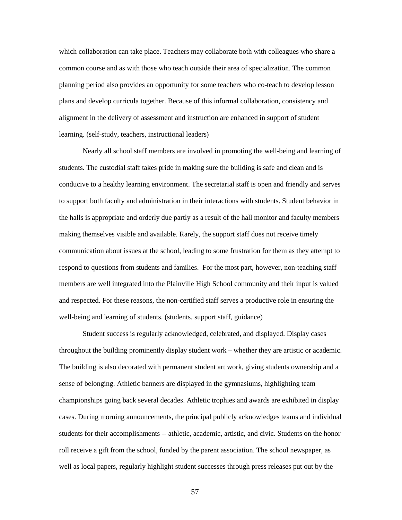which collaboration can take place. Teachers may collaborate both with colleagues who share a common course and as with those who teach outside their area of specialization. The common planning period also provides an opportunity for some teachers who co-teach to develop lesson plans and develop curricula together. Because of this informal collaboration, consistency and alignment in the delivery of assessment and instruction are enhanced in support of student learning. (self-study, teachers, instructional leaders)

Nearly all school staff members are involved in promoting the well-being and learning of students. The custodial staff takes pride in making sure the building is safe and clean and is conducive to a healthy learning environment. The secretarial staff is open and friendly and serves to support both faculty and administration in their interactions with students. Student behavior in the halls is appropriate and orderly due partly as a result of the hall monitor and faculty members making themselves visible and available. Rarely, the support staff does not receive timely communication about issues at the school, leading to some frustration for them as they attempt to respond to questions from students and families. For the most part, however, non-teaching staff members are well integrated into the Plainville High School community and their input is valued and respected. For these reasons, the non-certified staff serves a productive role in ensuring the well-being and learning of students. (students, support staff, guidance)

Student success is regularly acknowledged, celebrated, and displayed. Display cases throughout the building prominently display student work – whether they are artistic or academic. The building is also decorated with permanent student art work, giving students ownership and a sense of belonging. Athletic banners are displayed in the gymnasiums, highlighting team championships going back several decades. Athletic trophies and awards are exhibited in display cases. During morning announcements, the principal publicly acknowledges teams and individual students for their accomplishments -- athletic, academic, artistic, and civic. Students on the honor roll receive a gift from the school, funded by the parent association. The school newspaper, as well as local papers, regularly highlight student successes through press releases put out by the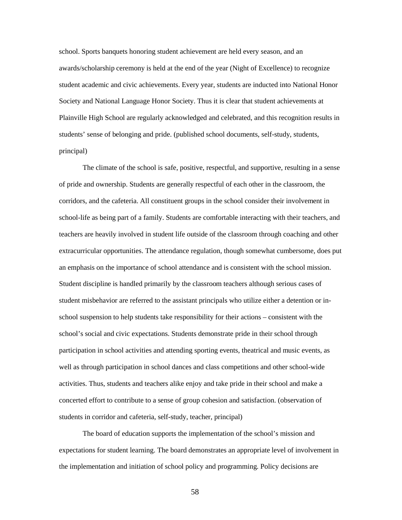school. Sports banquets honoring student achievement are held every season, and an awards/scholarship ceremony is held at the end of the year (Night of Excellence) to recognize student academic and civic achievements. Every year, students are inducted into National Honor Society and National Language Honor Society. Thus it is clear that student achievements at Plainville High School are regularly acknowledged and celebrated, and this recognition results in students' sense of belonging and pride. (published school documents, self-study, students, principal)

The climate of the school is safe, positive, respectful, and supportive, resulting in a sense of pride and ownership. Students are generally respectful of each other in the classroom, the corridors, and the cafeteria. All constituent groups in the school consider their involvement in school-life as being part of a family. Students are comfortable interacting with their teachers, and teachers are heavily involved in student life outside of the classroom through coaching and other extracurricular opportunities. The attendance regulation, though somewhat cumbersome, does put an emphasis on the importance of school attendance and is consistent with the school mission. Student discipline is handled primarily by the classroom teachers although serious cases of student misbehavior are referred to the assistant principals who utilize either a detention or inschool suspension to help students take responsibility for their actions – consistent with the school's social and civic expectations. Students demonstrate pride in their school through participation in school activities and attending sporting events, theatrical and music events, as well as through participation in school dances and class competitions and other school-wide activities. Thus, students and teachers alike enjoy and take pride in their school and make a concerted effort to contribute to a sense of group cohesion and satisfaction. (observation of students in corridor and cafeteria, self-study, teacher, principal)

The board of education supports the implementation of the school's mission and expectations for student learning. The board demonstrates an appropriate level of involvement in the implementation and initiation of school policy and programming. Policy decisions are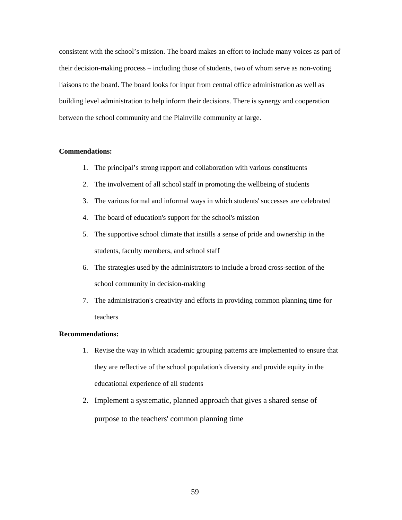consistent with the school's mission. The board makes an effort to include many voices as part of their decision-making process – including those of students, two of whom serve as non-voting liaisons to the board. The board looks for input from central office administration as well as building level administration to help inform their decisions. There is synergy and cooperation between the school community and the Plainville community at large.

#### **Commendations:**

- 1. The principal's strong rapport and collaboration with various constituents
- 2. The involvement of all school staff in promoting the wellbeing of students
- 3. The various formal and informal ways in which students' successes are celebrated
- 4. The board of education's support for the school's mission
- 5. The supportive school climate that instills a sense of pride and ownership in the students, faculty members, and school staff
- 6. The strategies used by the administrators to include a broad cross-section of the school community in decision-making
- 7. The administration's creativity and efforts in providing common planning time for teachers

#### **Recommendations:**

- 1. Revise the way in which academic grouping patterns are implemented to ensure that they are reflective of the school population's diversity and provide equity in the educational experience of all students
- 2. Implement a systematic, planned approach that gives a shared sense of purpose to the teachers' common planning time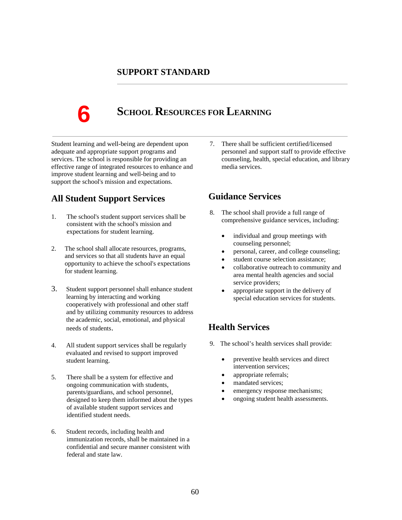### **SUPPORT STANDARD**

**6**

# **SCHOOL RESOURCES FOR LEARNING**

Student learning and well-being are dependent upon adequate and appropriate support programs and services. The school is responsible for providing an effective range of integrated resources to enhance and improve student learning and well-being and to support the school's mission and expectations.

# **All Student Support Services**

- 1. The school's student support services shall be consistent with the school's mission and expectations for student learning.
- 2. The school shall allocate resources, programs, and services so that all students have an equal opportunity to achieve the school's expectations for student learning.
- 3. Student support personnel shall enhance student learning by interacting and working cooperatively with professional and other staff and by utilizing community resources to address the academic, social, emotional, and physical needs of students.
- 4. All student support services shall be regularly evaluated and revised to support improved student learning.
- 5. There shall be a system for effective and ongoing communication with students, parents/guardians, and school personnel, designed to keep them informed about the types of available student support services and identified student needs.
- 6. Student records, including health and immunization records, shall be maintained in a confidential and secure manner consistent with federal and state law.

7. There shall be sufficient certified/licensed personnel and support staff to provide effective counseling, health, special education, and library media services.

## **Guidance Services**

- 8. The school shall provide a full range of comprehensive guidance services, including:
	- individual and group meetings with counseling personnel;
	- personal, career, and college counseling;
	- student course selection assistance;
	- collaborative outreach to community and area mental health agencies and social service providers;
	- appropriate support in the delivery of special education services for students.

# **Health Services**

- 9. The school's health services shall provide:
	- preventive health services and direct intervention services;
	- appropriate referrals;
	- mandated services;
	- emergency response mechanisms;
	- ongoing student health assessments.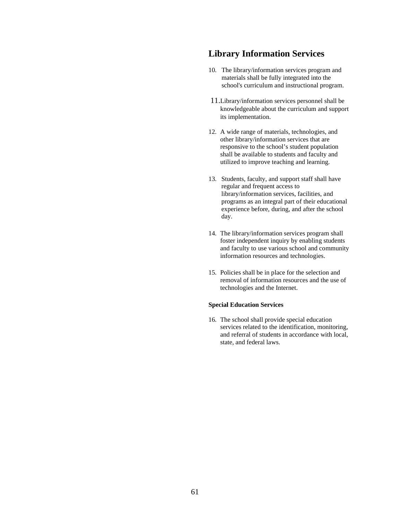# **Library Information Services**

- 10. The library/information services program and materials shall be fully integrated into the school's curriculum and instructional program.
- 2. 11.Library/information services personnel shall be knowledgeable about the curriculum and support its implementation.
- 12. A wide range of materials, technologies, and other library/information services that are responsive to the school's student population shall be available to students and faculty and utilized to improve teaching and learning.
- 13. Students, faculty, and support staff shall have regular and frequent access to library/information services, facilities, and programs as an integral part of their educational experience before, during, and after the school day.
- 14. The library/information services program shall foster independent inquiry by enabling students and faculty to use various school and community information resources and technologies.
- 15. Policies shall be in place for the selection and removal of information resources and the use of technologies and the Internet.

#### **Special Education Services**

16. The school shall provide special education services related to the identification, monitoring, and referral of students in accordance with local, state, and federal laws.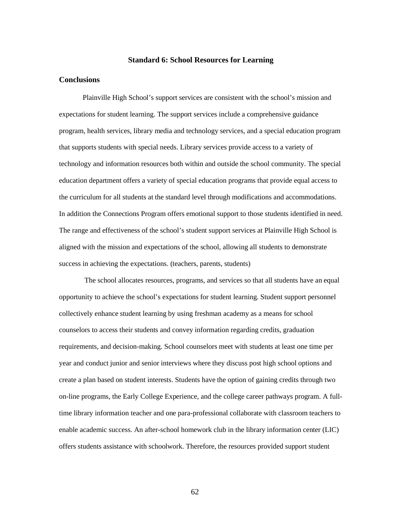#### **Standard 6: School Resources for Learning**

#### **Conclusions**

Plainville High School's support services are consistent with the school's mission and expectations for student learning. The support services include a comprehensive guidance program, health services, library media and technology services, and a special education program that supports students with special needs. Library services provide access to a variety of technology and information resources both within and outside the school community. The special education department offers a variety of special education programs that provide equal access to the curriculum for all students at the standard level through modifications and accommodations. In addition the Connections Program offers emotional support to those students identified in need. The range and effectiveness of the school's student support services at Plainville High School is aligned with the mission and expectations of the school, allowing all students to demonstrate success in achieving the expectations. (teachers, parents, students)

The school allocates resources, programs, and services so that all students have an equal opportunity to achieve the school's expectations for student learning. Student support personnel collectively enhance student learning by using freshman academy as a means for school counselors to access their students and convey information regarding credits, graduation requirements, and decision-making. School counselors meet with students at least one time per year and conduct junior and senior interviews where they discuss post high school options and create a plan based on student interests. Students have the option of gaining credits through two on-line programs, the Early College Experience, and the college career pathways program. A fulltime library information teacher and one para-professional collaborate with classroom teachers to enable academic success. An after-school homework club in the library information center (LIC) offers students assistance with schoolwork. Therefore, the resources provided support student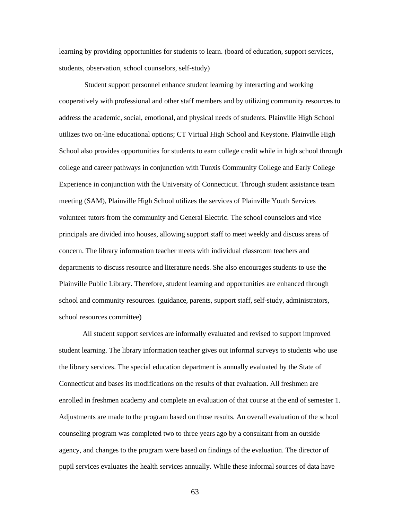learning by providing opportunities for students to learn. (board of education, support services, students, observation, school counselors, self-study)

Student support personnel enhance student learning by interacting and working cooperatively with professional and other staff members and by utilizing community resources to address the academic, social, emotional, and physical needs of students. Plainville High School utilizes two on-line educational options; CT Virtual High School and Keystone. Plainville High School also provides opportunities for students to earn college credit while in high school through college and career pathways in conjunction with Tunxis Community College and Early College Experience in conjunction with the University of Connecticut. Through student assistance team meeting (SAM), Plainville High School utilizes the services of Plainville Youth Services volunteer tutors from the community and General Electric. The school counselors and vice principals are divided into houses, allowing support staff to meet weekly and discuss areas of concern. The library information teacher meets with individual classroom teachers and departments to discuss resource and literature needs. She also encourages students to use the Plainville Public Library. Therefore, student learning and opportunities are enhanced through school and community resources. (guidance, parents, support staff, self-study, administrators, school resources committee)

All student support services are informally evaluated and revised to support improved student learning. The library information teacher gives out informal surveys to students who use the library services. The special education department is annually evaluated by the State of Connecticut and bases its modifications on the results of that evaluation. All freshmen are enrolled in freshmen academy and complete an evaluation of that course at the end of semester 1. Adjustments are made to the program based on those results. An overall evaluation of the school counseling program was completed two to three years ago by a consultant from an outside agency, and changes to the program were based on findings of the evaluation. The director of pupil services evaluates the health services annually. While these informal sources of data have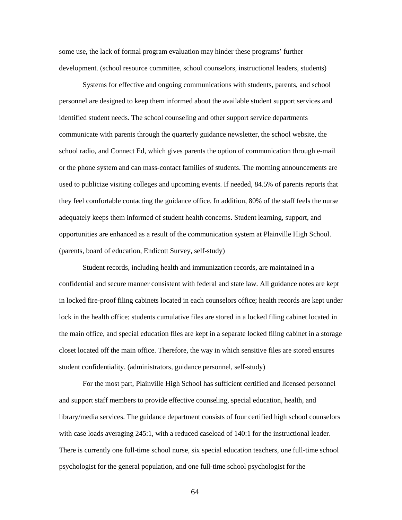some use, the lack of formal program evaluation may hinder these programs' further development. (school resource committee, school counselors, instructional leaders, students)

Systems for effective and ongoing communications with students, parents, and school personnel are designed to keep them informed about the available student support services and identified student needs. The school counseling and other support service departments communicate with parents through the quarterly guidance newsletter, the school website, the school radio, and Connect Ed, which gives parents the option of communication through e-mail or the phone system and can mass-contact families of students. The morning announcements are used to publicize visiting colleges and upcoming events. If needed, 84.5% of parents reports that they feel comfortable contacting the guidance office. In addition, 80% of the staff feels the nurse adequately keeps them informed of student health concerns. Student learning, support, and opportunities are enhanced as a result of the communication system at Plainville High School. (parents, board of education, Endicott Survey, self-study)

Student records, including health and immunization records, are maintained in a confidential and secure manner consistent with federal and state law. All guidance notes are kept in locked fire-proof filing cabinets located in each counselors office; health records are kept under lock in the health office; students cumulative files are stored in a locked filing cabinet located in the main office, and special education files are kept in a separate locked filing cabinet in a storage closet located off the main office. Therefore, the way in which sensitive files are stored ensures student confidentiality. (administrators, guidance personnel, self-study)

For the most part, Plainville High School has sufficient certified and licensed personnel and support staff members to provide effective counseling, special education, health, and library/media services. The guidance department consists of four certified high school counselors with case loads averaging 245:1, with a reduced caseload of 140:1 for the instructional leader. There is currently one full-time school nurse, six special education teachers, one full-time school psychologist for the general population, and one full-time school psychologist for the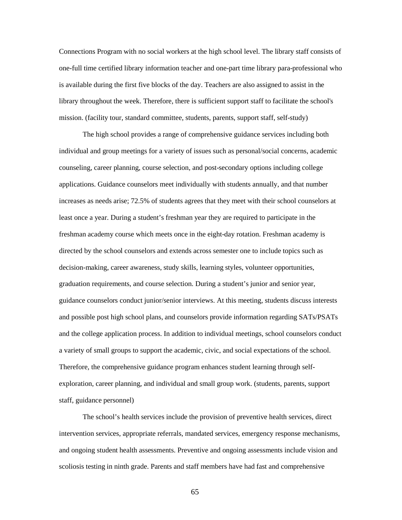Connections Program with no social workers at the high school level. The library staff consists of one-full time certified library information teacher and one-part time library para-professional who is available during the first five blocks of the day. Teachers are also assigned to assist in the library throughout the week. Therefore, there is sufficient support staff to facilitate the school's mission. (facility tour, standard committee, students, parents, support staff, self-study)

The high school provides a range of comprehensive guidance services including both individual and group meetings for a variety of issues such as personal/social concerns, academic counseling, career planning, course selection, and post-secondary options including college applications. Guidance counselors meet individually with students annually, and that number increases as needs arise; 72.5% of students agrees that they meet with their school counselors at least once a year. During a student's freshman year they are required to participate in the freshman academy course which meets once in the eight-day rotation. Freshman academy is directed by the school counselors and extends across semester one to include topics such as decision-making, career awareness, study skills, learning styles, volunteer opportunities, graduation requirements, and course selection. During a student's junior and senior year, guidance counselors conduct junior/senior interviews. At this meeting, students discuss interests and possible post high school plans, and counselors provide information regarding SATs/PSATs and the college application process. In addition to individual meetings, school counselors conduct a variety of small groups to support the academic, civic, and social expectations of the school. Therefore, the comprehensive guidance program enhances student learning through selfexploration, career planning, and individual and small group work. (students, parents, support staff, guidance personnel)

The school's health services include the provision of preventive health services, direct intervention services, appropriate referrals, mandated services, emergency response mechanisms, and ongoing student health assessments. Preventive and ongoing assessments include vision and scoliosis testing in ninth grade. Parents and staff members have had fast and comprehensive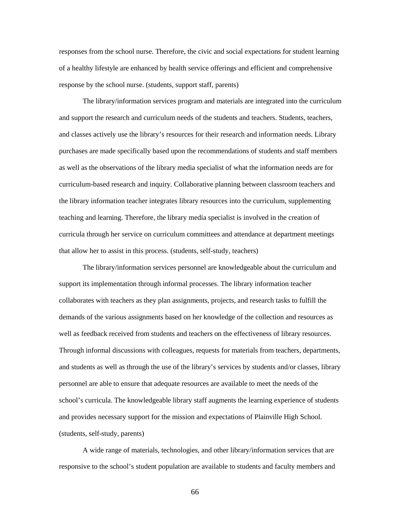responses from the school nurse. Therefore, the civic and social expectations for student learning of a healthy lifestyle are enhanced by health service offerings and efficient and comprehensive response by the school nurse. (students, support staff, parents)

The library/information services program and materials are integrated into the curriculum and support the research and curriculum needs of the students and teachers. Students, teachers, and classes actively use the library's resources for their research and information needs. Library purchases are made specifically based upon the recommendations of students and staff members as well as the observations of the library media specialist of what the information needs are for curriculum-based research and inquiry. Collaborative planning between classroom teachers and the library information teacher integrates library resources into the curriculum, supplementing teaching and learning. Therefore, the library media specialist is involved in the creation of curricula through her service on curriculum committees and attendance at department meetings that allow her to assist in this process. (students, self-study, teachers)

The library/information services personnel are knowledgeable about the curriculum and support its implementation through informal processes. The library information teacher collaborates with teachers as they plan assignments, projects, and research tasks to fulfill the demands of the various assignments based on her knowledge of the collection and resources as well as feedback received from students and teachers on the effectiveness of library resources. Through informal discussions with colleagues, requests for materials from teachers, departments, and students as well as through the use of the library's services by students and/or classes, library personnel are able to ensure that adequate resources are available to meet the needs of the school's curricula. The knowledgeable library staff augments the learning experience of students and provides necessary support for the mission and expectations of Plainville High School. (students, self-study, parents)

A wide range of materials, technologies, and other library/information services that are responsive to the school's student population are available to students and faculty members and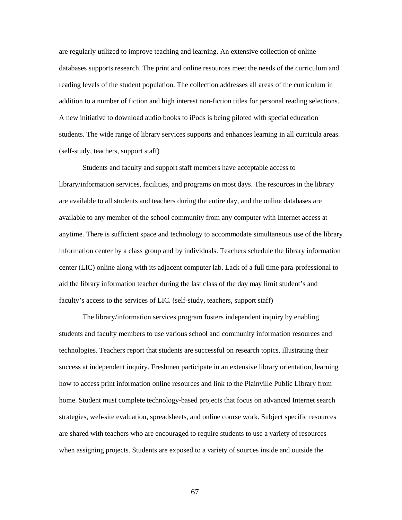are regularly utilized to improve teaching and learning. An extensive collection of online databases supports research. The print and online resources meet the needs of the curriculum and reading levels of the student population. The collection addresses all areas of the curriculum in addition to a number of fiction and high interest non-fiction titles for personal reading selections. A new initiative to download audio books to iPods is being piloted with special education students. The wide range of library services supports and enhances learning in all curricula areas. (self-study, teachers, support staff)

Students and faculty and support staff members have acceptable access to library/information services, facilities, and programs on most days. The resources in the library are available to all students and teachers during the entire day, and the online databases are available to any member of the school community from any computer with Internet access at anytime. There is sufficient space and technology to accommodate simultaneous use of the library information center by a class group and by individuals. Teachers schedule the library information center (LIC) online along with its adjacent computer lab. Lack of a full time para-professional to aid the library information teacher during the last class of the day may limit student's and faculty's access to the services of LIC. (self-study, teachers, support staff)

The library/information services program fosters independent inquiry by enabling students and faculty members to use various school and community information resources and technologies. Teachers report that students are successful on research topics, illustrating their success at independent inquiry. Freshmen participate in an extensive library orientation, learning how to access print information online resources and link to the Plainville Public Library from home. Student must complete technology-based projects that focus on advanced Internet search strategies, web-site evaluation, spreadsheets, and online course work. Subject specific resources are shared with teachers who are encouraged to require students to use a variety of resources when assigning projects. Students are exposed to a variety of sources inside and outside the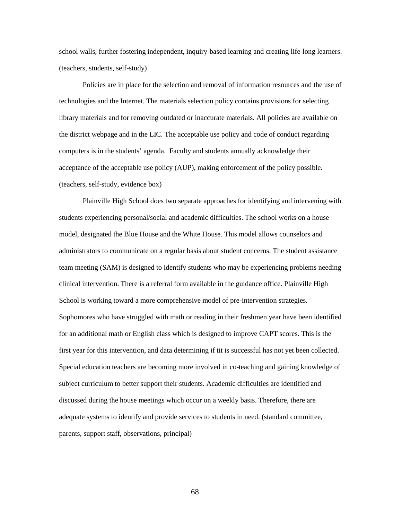school walls, further fostering independent, inquiry-based learning and creating life-long learners. (teachers, students, self-study)

Policies are in place for the selection and removal of information resources and the use of technologies and the Internet. The materials selection policy contains provisions for selecting library materials and for removing outdated or inaccurate materials. All policies are available on the district webpage and in the LIC. The acceptable use policy and code of conduct regarding computers is in the students' agenda. Faculty and students annually acknowledge their acceptance of the acceptable use policy (AUP), making enforcement of the policy possible. (teachers, self-study, evidence box)

Plainville High School does two separate approaches for identifying and intervening with students experiencing personal/social and academic difficulties. The school works on a house model, designated the Blue House and the White House. This model allows counselors and administrators to communicate on a regular basis about student concerns. The student assistance team meeting (SAM) is designed to identify students who may be experiencing problems needing clinical intervention. There is a referral form available in the guidance office. Plainville High School is working toward a more comprehensive model of pre-intervention strategies. Sophomores who have struggled with math or reading in their freshmen year have been identified for an additional math or English class which is designed to improve CAPT scores. This is the first year for this intervention, and data determining if tit is successful has not yet been collected. Special education teachers are becoming more involved in co-teaching and gaining knowledge of subject curriculum to better support their students. Academic difficulties are identified and discussed during the house meetings which occur on a weekly basis. Therefore, there are adequate systems to identify and provide services to students in need. (standard committee, parents, support staff, observations, principal)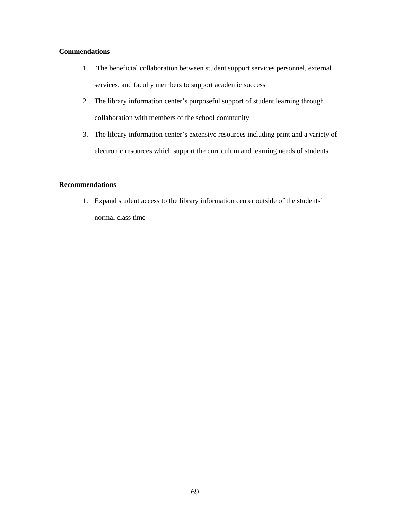#### **Commendations**

- 1. The beneficial collaboration between student support services personnel, external services, and faculty members to support academic success
- 2. The library information center's purposeful support of student learning through collaboration with members of the school community
- 3. The library information center's extensive resources including print and a variety of electronic resources which support the curriculum and learning needs of students

### **Recommendations**

1. Expand student access to the library information center outside of the students' normal class time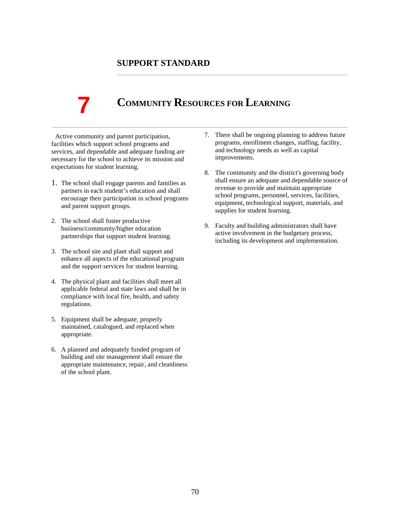## **SUPPORT STANDARD**

# **7**

# **COMMUNITY RESOURCES FOR LEARNING**

Active community and parent participation, facilities which support school programs and services, and dependable and adequate funding are necessary for the school to achieve its mission and expectations for student learning.

- 1. The school shall engage parents and families as partners in each student's education and shall encourage their participation in school programs and parent support groups.
- 2. The school shall foster productive business/community/higher education partnerships that support student learning.
- 3. The school site and plant shall support and enhance all aspects of the educational program and the support services for student learning.
- 4. The physical plant and facilities shall meet all applicable federal and state laws and shall be in compliance with local fire, health, and safety regulations.
- 5. Equipment shall be adequate, properly maintained, catalogued, and replaced when appropriate.
- 6. A planned and adequately funded program of building and site management shall ensure the appropriate maintenance, repair, and cleanliness of the school plant.
- 7. There shall be ongoing planning to address future programs, enrollment changes, staffing, facility, and technology needs as well as capital improvements.
- 8. The community and the district's governing body shall ensure an adequate and dependable source of revenue to provide and maintain appropriate school programs, personnel, services, facilities, equipment, technological support, materials, and supplies for student learning.
- 9. Faculty and building administrators shall have active involvement in the budgetary process, including its development and implementation.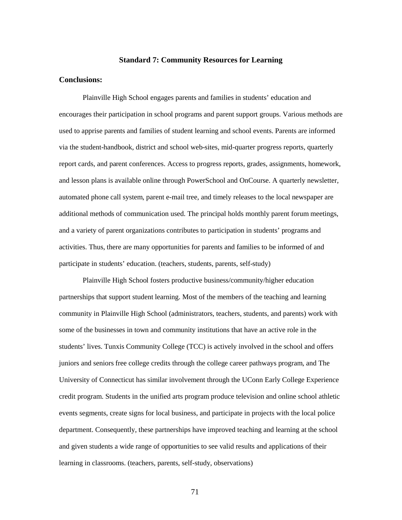#### **Standard 7: Community Resources for Learning**

#### **Conclusions:**

Plainville High School engages parents and families in students' education and encourages their participation in school programs and parent support groups. Various methods are used to apprise parents and families of student learning and school events. Parents are informed via the student-handbook, district and school web-sites, mid-quarter progress reports, quarterly report cards, and parent conferences. Access to progress reports, grades, assignments, homework, and lesson plans is available online through PowerSchool and OnCourse. A quarterly newsletter, automated phone call system, parent e-mail tree, and timely releases to the local newspaper are additional methods of communication used. The principal holds monthly parent forum meetings, and a variety of parent organizations contributes to participation in students' programs and activities. Thus, there are many opportunities for parents and families to be informed of and participate in students' education. (teachers, students, parents, self-study)

Plainville High School fosters productive business/community/higher education partnerships that support student learning. Most of the members of the teaching and learning community in Plainville High School (administrators, teachers, students, and parents) work with some of the businesses in town and community institutions that have an active role in the students' lives. Tunxis Community College (TCC) is actively involved in the school and offers juniors and seniors free college credits through the college career pathways program, and The University of Connecticut has similar involvement through the UConn Early College Experience credit program. Students in the unified arts program produce television and online school athletic events segments, create signs for local business, and participate in projects with the local police department. Consequently, these partnerships have improved teaching and learning at the school and given students a wide range of opportunities to see valid results and applications of their learning in classrooms. (teachers, parents, self-study, observations)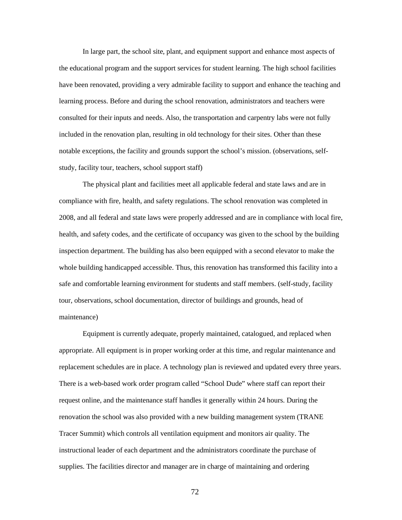In large part, the school site, plant, and equipment support and enhance most aspects of the educational program and the support services for student learning. The high school facilities have been renovated, providing a very admirable facility to support and enhance the teaching and learning process. Before and during the school renovation, administrators and teachers were consulted for their inputs and needs. Also, the transportation and carpentry labs were not fully included in the renovation plan, resulting in old technology for their sites. Other than these notable exceptions, the facility and grounds support the school's mission. (observations, selfstudy, facility tour, teachers, school support staff)

The physical plant and facilities meet all applicable federal and state laws and are in compliance with fire, health, and safety regulations. The school renovation was completed in 2008, and all federal and state laws were properly addressed and are in compliance with local fire, health, and safety codes, and the certificate of occupancy was given to the school by the building inspection department. The building has also been equipped with a second elevator to make the whole building handicapped accessible. Thus, this renovation has transformed this facility into a safe and comfortable learning environment for students and staff members. (self-study, facility tour, observations, school documentation, director of buildings and grounds, head of maintenance)

Equipment is currently adequate, properly maintained, catalogued, and replaced when appropriate. All equipment is in proper working order at this time, and regular maintenance and replacement schedules are in place. A technology plan is reviewed and updated every three years. There is a web-based work order program called "School Dude" where staff can report their request online, and the maintenance staff handles it generally within 24 hours. During the renovation the school was also provided with a new building management system (TRANE Tracer Summit) which controls all ventilation equipment and monitors air quality. The instructional leader of each department and the administrators coordinate the purchase of supplies. The facilities director and manager are in charge of maintaining and ordering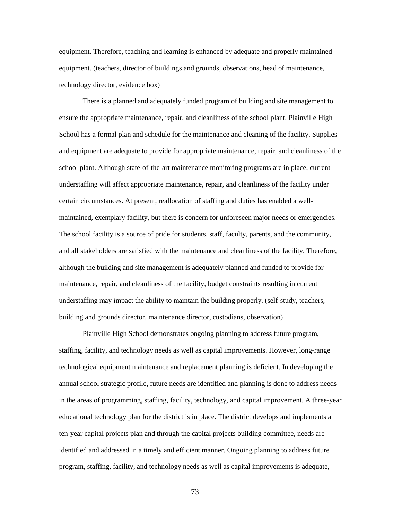equipment. Therefore, teaching and learning is enhanced by adequate and properly maintained equipment. (teachers, director of buildings and grounds, observations, head of maintenance, technology director, evidence box)

There is a planned and adequately funded program of building and site management to ensure the appropriate maintenance, repair, and cleanliness of the school plant. Plainville High School has a formal plan and schedule for the maintenance and cleaning of the facility. Supplies and equipment are adequate to provide for appropriate maintenance, repair, and cleanliness of the school plant. Although state-of-the-art maintenance monitoring programs are in place, current understaffing will affect appropriate maintenance, repair, and cleanliness of the facility under certain circumstances. At present, reallocation of staffing and duties has enabled a wellmaintained, exemplary facility, but there is concern for unforeseen major needs or emergencies. The school facility is a source of pride for students, staff, faculty, parents, and the community, and all stakeholders are satisfied with the maintenance and cleanliness of the facility. Therefore, although the building and site management is adequately planned and funded to provide for maintenance, repair, and cleanliness of the facility, budget constraints resulting in current understaffing may impact the ability to maintain the building properly. (self-study, teachers, building and grounds director, maintenance director, custodians, observation)

Plainville High School demonstrates ongoing planning to address future program, staffing, facility, and technology needs as well as capital improvements. However, long-range technological equipment maintenance and replacement planning is deficient. In developing the annual school strategic profile, future needs are identified and planning is done to address needs in the areas of programming, staffing, facility, technology, and capital improvement. A three-year educational technology plan for the district is in place. The district develops and implements a ten-year capital projects plan and through the capital projects building committee, needs are identified and addressed in a timely and efficient manner. Ongoing planning to address future program, staffing, facility, and technology needs as well as capital improvements is adequate,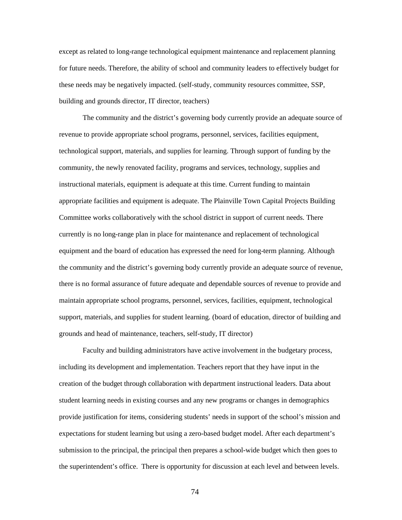except as related to long-range technological equipment maintenance and replacement planning for future needs. Therefore, the ability of school and community leaders to effectively budget for these needs may be negatively impacted. (self-study, community resources committee, SSP, building and grounds director, IT director, teachers)

The community and the district's governing body currently provide an adequate source of revenue to provide appropriate school programs, personnel, services, facilities equipment, technological support, materials, and supplies for learning. Through support of funding by the community, the newly renovated facility, programs and services, technology, supplies and instructional materials, equipment is adequate at this time. Current funding to maintain appropriate facilities and equipment is adequate. The Plainville Town Capital Projects Building Committee works collaboratively with the school district in support of current needs. There currently is no long-range plan in place for maintenance and replacement of technological equipment and the board of education has expressed the need for long-term planning. Although the community and the district's governing body currently provide an adequate source of revenue, there is no formal assurance of future adequate and dependable sources of revenue to provide and maintain appropriate school programs, personnel, services, facilities, equipment, technological support, materials, and supplies for student learning. (board of education, director of building and grounds and head of maintenance, teachers, self-study, IT director)

Faculty and building administrators have active involvement in the budgetary process, including its development and implementation. Teachers report that they have input in the creation of the budget through collaboration with department instructional leaders. Data about student learning needs in existing courses and any new programs or changes in demographics provide justification for items, considering students' needs in support of the school's mission and expectations for student learning but using a zero-based budget model. After each department's submission to the principal, the principal then prepares a school-wide budget which then goes to the superintendent's office. There is opportunity for discussion at each level and between levels.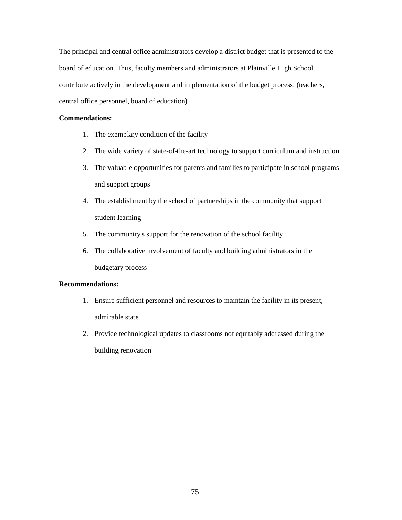The principal and central office administrators develop a district budget that is presented to the board of education. Thus, faculty members and administrators at Plainville High School contribute actively in the development and implementation of the budget process. (teachers, central office personnel, board of education)

## **Commendations:**

- 1. The exemplary condition of the facility
- 2. The wide variety of state-of-the-art technology to support curriculum and instruction
- 3. The valuable opportunities for parents and families to participate in school programs and support groups
- 4. The establishment by the school of partnerships in the community that support student learning
- 5. The community's support for the renovation of the school facility
- 6. The collaborative involvement of faculty and building administrators in the budgetary process

# **Recommendations:**

- 1. Ensure sufficient personnel and resources to maintain the facility in its present, admirable state
- 2. Provide technological updates to classrooms not equitably addressed during the building renovation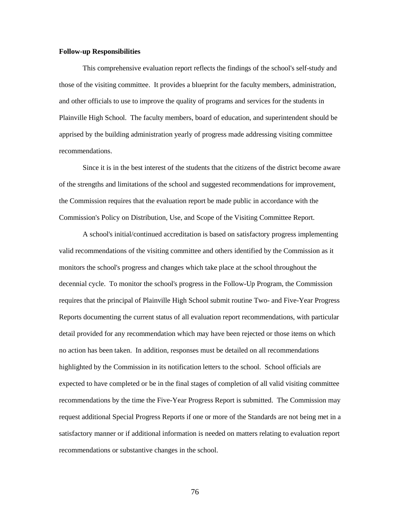#### **Follow-up Responsibilities**

This comprehensive evaluation report reflects the findings of the school's self-study and those of the visiting committee. It provides a blueprint for the faculty members, administration, and other officials to use to improve the quality of programs and services for the students in Plainville High School. The faculty members, board of education, and superintendent should be apprised by the building administration yearly of progress made addressing visiting committee recommendations.

Since it is in the best interest of the students that the citizens of the district become aware of the strengths and limitations of the school and suggested recommendations for improvement, the Commission requires that the evaluation report be made public in accordance with the Commission's Policy on Distribution, Use, and Scope of the Visiting Committee Report.

A school's initial/continued accreditation is based on satisfactory progress implementing valid recommendations of the visiting committee and others identified by the Commission as it monitors the school's progress and changes which take place at the school throughout the decennial cycle. To monitor the school's progress in the Follow-Up Program, the Commission requires that the principal of Plainville High School submit routine Two- and Five-Year Progress Reports documenting the current status of all evaluation report recommendations, with particular detail provided for any recommendation which may have been rejected or those items on which no action has been taken. In addition, responses must be detailed on all recommendations highlighted by the Commission in its notification letters to the school. School officials are expected to have completed or be in the final stages of completion of all valid visiting committee recommendations by the time the Five-Year Progress Report is submitted. The Commission may request additional Special Progress Reports if one or more of the Standards are not being met in a satisfactory manner or if additional information is needed on matters relating to evaluation report recommendations or substantive changes in the school.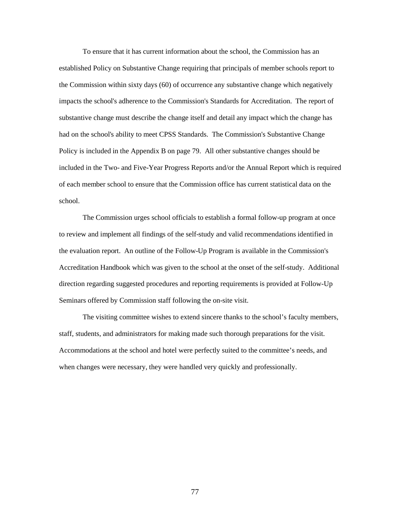To ensure that it has current information about the school, the Commission has an established Policy on Substantive Change requiring that principals of member schools report to the Commission within sixty days (60) of occurrence any substantive change which negatively impacts the school's adherence to the Commission's Standards for Accreditation. The report of substantive change must describe the change itself and detail any impact which the change has had on the school's ability to meet CPSS Standards. The Commission's Substantive Change Policy is included in the Appendix B on page 79. All other substantive changes should be included in the Two- and Five-Year Progress Reports and/or the Annual Report which is required of each member school to ensure that the Commission office has current statistical data on the school.

The Commission urges school officials to establish a formal follow-up program at once to review and implement all findings of the self-study and valid recommendations identified in the evaluation report. An outline of the Follow-Up Program is available in the Commission's Accreditation Handbook which was given to the school at the onset of the self-study. Additional direction regarding suggested procedures and reporting requirements is provided at Follow-Up Seminars offered by Commission staff following the on-site visit.

The visiting committee wishes to extend sincere thanks to the school's faculty members, staff, students, and administrators for making made such thorough preparations for the visit. Accommodations at the school and hotel were perfectly suited to the committee's needs, and when changes were necessary, they were handled very quickly and professionally.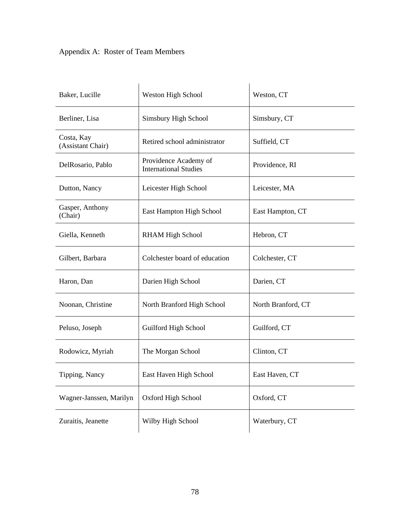# Appendix A: Roster of Team Members

| Baker, Lucille                  | Weston High School                                    | Weston, CT         |
|---------------------------------|-------------------------------------------------------|--------------------|
| Berliner, Lisa                  | Simsbury High School                                  | Simsbury, CT       |
| Costa, Kay<br>(Assistant Chair) | Retired school administrator                          | Suffield, CT       |
| DelRosario, Pablo               | Providence Academy of<br><b>International Studies</b> | Providence, RI     |
| Dutton, Nancy                   | Leicester High School                                 | Leicester, MA      |
| Gasper, Anthony<br>(Chair)      | East Hampton High School                              | East Hampton, CT   |
| Giella, Kenneth                 | <b>RHAM High School</b>                               | Hebron, CT         |
| Gilbert, Barbara                | Colchester board of education                         | Colchester, CT     |
| Haron, Dan                      | Darien High School                                    | Darien, CT         |
| Noonan, Christine               | North Branford High School                            | North Branford, CT |
| Peluso, Joseph                  | Guilford High School                                  | Guilford, CT       |
| Rodowicz, Myriah                | The Morgan School                                     | Clinton, CT        |
| Tipping, Nancy                  | East Haven High School                                | East Haven, CT     |
| Wagner-Janssen, Marilyn         | Oxford High School                                    | Oxford, CT         |
| Zuraitis, Jeanette              | Wilby High School                                     | Waterbury, CT      |